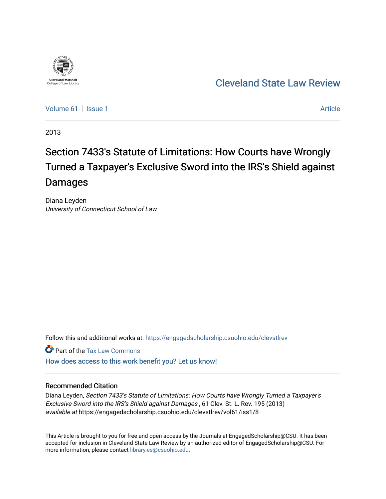

# [Cleveland State Law Review](https://engagedscholarship.csuohio.edu/clevstlrev)

[Volume 61](https://engagedscholarship.csuohio.edu/clevstlrev/vol61) | [Issue 1](https://engagedscholarship.csuohio.edu/clevstlrev/vol61/iss1) Article

2013

# Section 7433's Statute of Limitations: How Courts have Wrongly Turned a Taxpayer's Exclusive Sword into the IRS's Shield against Damages

Diana Leyden University of Connecticut School of Law

Follow this and additional works at: [https://engagedscholarship.csuohio.edu/clevstlrev](https://engagedscholarship.csuohio.edu/clevstlrev?utm_source=engagedscholarship.csuohio.edu%2Fclevstlrev%2Fvol61%2Fiss1%2F8&utm_medium=PDF&utm_campaign=PDFCoverPages)

Part of the [Tax Law Commons](http://network.bepress.com/hgg/discipline/898?utm_source=engagedscholarship.csuohio.edu%2Fclevstlrev%2Fvol61%2Fiss1%2F8&utm_medium=PDF&utm_campaign=PDFCoverPages)

[How does access to this work benefit you? Let us know!](http://library.csuohio.edu/engaged/)

# Recommended Citation

Diana Leyden, Section 7433's Statute of Limitations: How Courts have Wrongly Turned a Taxpayer's Exclusive Sword into the IRS's Shield against Damages , 61 Clev. St. L. Rev. 195 (2013) available at https://engagedscholarship.csuohio.edu/clevstlrev/vol61/iss1/8

This Article is brought to you for free and open access by the Journals at EngagedScholarship@CSU. It has been accepted for inclusion in Cleveland State Law Review by an authorized editor of EngagedScholarship@CSU. For more information, please contact [library.es@csuohio.edu](mailto:library.es@csuohio.edu).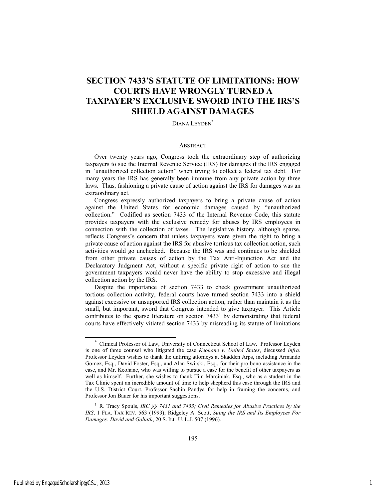# **SECTION 7433'S STATUTE OF LIMITATIONS: HOW COURTS HAVE WRONGLY TURNED A TAXPAYER'S EXCLUSIVE SWORD INTO THE IRS'S SHIELD AGAINST DAMAGES**

DIANA LEYDEN<sup>\*</sup>

# ABSTRACT

Over twenty years ago, Congress took the extraordinary step of authorizing taxpayers to sue the Internal Revenue Service (IRS) for damages if the IRS engaged in "unauthorized collection action" when trying to collect a federal tax debt. For many years the IRS has generally been immune from any private action by three laws. Thus, fashioning a private cause of action against the IRS for damages was an extraordinary act.

Congress expressly authorized taxpayers to bring a private cause of action against the United States for economic damages caused by "unauthorized collection." Codified as section 7433 of the Internal Revenue Code, this statute provides taxpayers with the exclusive remedy for abuses by IRS employees in connection with the collection of taxes. The legislative history, although sparse, reflects Congress's concern that unless taxpayers were given the right to bring a private cause of action against the IRS for abusive tortious tax collection action, such activities would go unchecked. Because the IRS was and continues to be shielded from other private causes of action by the Tax Anti-Injunction Act and the Declaratory Judgment Act, without a specific private right of action to sue the government taxpayers would never have the ability to stop excessive and illegal collection action by the IRS.

Despite the importance of section 7433 to check government unauthorized tortious collection activity, federal courts have turned section 7433 into a shield against excessive or unsupported IRS collection action, rather than maintain it as the small, but important, sword that Congress intended to give taxpayer. This Article contributes to the sparse literature on section  $7433<sup>1</sup>$  by demonstrating that federal courts have effectively vitiated section 7433 by misreading its statute of limitations

l

 <sup>\*</sup> Clinical Professor of Law, University of Connecticut School of Law. Professor Leyden is one of three counsel who litigated the case *Keohane v. United States*, discussed *infra*. Professor Leyden wishes to thank the untiring attorneys at Skadden Arps, including Armando Gomez, Esq., David Foster, Esq., and Alan Swirski, Esq., for their pro bono assistance in the case, and Mr. Keohane, who was willing to pursue a case for the benefit of other taxpayers as well as himself. Further, she wishes to thank Tim Marciniak, Esq., who as a student in the Tax Clinic spent an incredible amount of time to help shepherd this case through the IRS and the U.S. District Court, Professor Sachin Pandya for help in framing the concerns, and Professor Jon Bauer for his important suggestions.

<sup>1</sup> R. Tracy Spouls, *IRC §§ 7431 and 7433; Civil Remedies for Abusive Practices by the IRS*, 1 FLA. TAX REV. 563 (1993); Ridgeley A. Scott, *Suing the IRS and Its Employees For Damages: David and Goliath*, 20 S. ILL. U. L.J. 507 (1996).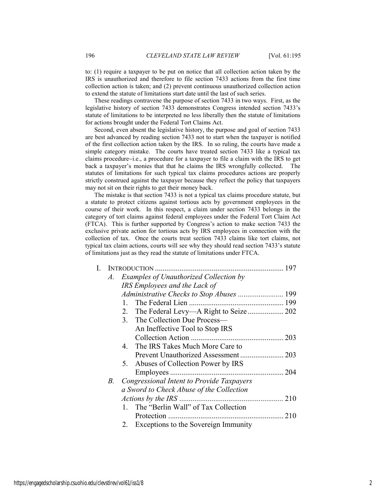to: (1) require a taxpayer to be put on notice that all collection action taken by the IRS is unauthorized and therefore to file section 7433 actions from the first time collection action is taken; and (2) prevent continuous unauthorized collection action to extend the statute of limitations start date until the last of such series.

These readings contravene the purpose of section 7433 in two ways. First, as the legislative history of section 7433 demonstrates Congress intended section 7433's statute of limitations to be interpreted no less liberally then the statute of limitations for actions brought under the Federal Tort Claims Act.

Second, even absent the legislative history, the purpose and goal of section 7433 are best advanced by reading section 7433 not to start when the taxpayer is notified of the first collection action taken by the IRS. In so ruling, the courts have made a simple category mistake. The courts have treated section 7433 like a typical tax claims procedure−i.e., a procedure for a taxpayer to file a claim with the IRS to get back a taxpayer's monies that that he claims the IRS wrongfully collected. The statutes of limitations for such typical tax claims procedures actions are properly strictly construed against the taxpayer because they reflect the policy that taxpayers may not sit on their rights to get their money back.

The mistake is that section 7433 is not a typical tax claims procedure statute, but a statute to protect citizens against tortious acts by government employees in the course of their work. In this respect, a claim under section 7433 belongs in the category of tort claims against federal employees under the Federal Tort Claim Act (FTCA). This is further supported by Congress's action to make section 7433 the exclusive private action for tortious acts by IRS employees in connection with the collection of tax. Once the courts treat section 7433 claims like tort claims, not typical tax claim actions, courts will see why they should read section 7433's statute of limitations just as they read the statute of limitations under FTCA.

| L. |    |                                                | 197 |
|----|----|------------------------------------------------|-----|
|    | A. | Examples of Unauthorized Collection by         |     |
|    |    | IRS Employees and the Lack of                  |     |
|    |    |                                                |     |
|    |    | $\mathbf{1}$                                   |     |
|    |    |                                                |     |
|    |    | 3. The Collection Due Process—                 |     |
|    |    | An Ineffective Tool to Stop IRS                |     |
|    |    |                                                |     |
|    |    | The IRS Takes Much More Care to<br>4           |     |
|    |    |                                                |     |
|    |    | Abuses of Collection Power by IRS<br>5.        |     |
|    |    | Employees                                      | 204 |
|    | B. | Congressional Intent to Provide Taxpayers      |     |
|    |    | a Sword to Check Abuse of the Collection       |     |
|    |    | Actions by the IRS                             |     |
|    |    | The "Berlin Wall" of Tax Collection<br>$1_{-}$ |     |
|    |    | Protection                                     | 210 |
|    |    | Exceptions to the Sovereign Immunity           |     |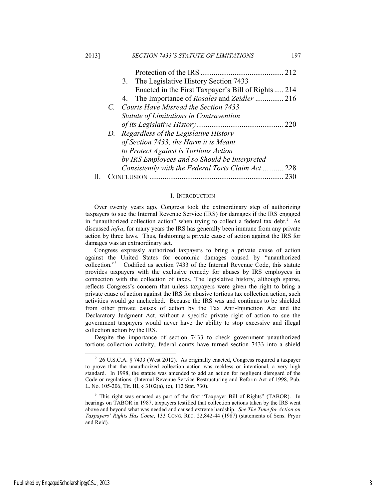| 3. The Legislative History Section 7433            |
|----------------------------------------------------|
| Enacted in the First Taxpayer's Bill of Rights 214 |
|                                                    |
| C. Courts Have Misread the Section 7433            |
| Statute of Limitations in Contravention            |
| 220                                                |
| D. Regardless of the Legislative History           |
| of Section 7433, the Harm it is Meant              |
| to Protect Against is Tortious Action              |
| by IRS Employees and so Should be Interpreted      |
| Consistently with the Federal Torts Claim Act 228  |
|                                                    |

#### I. INTRODUCTION

Over twenty years ago, Congress took the extraordinary step of authorizing taxpayers to sue the Internal Revenue Service (IRS) for damages if the IRS engaged in "unauthorized collection action" when trying to collect a federal tax debt.<sup>2</sup> As discussed *infra*, for many years the IRS has generally been immune from any private action by three laws. Thus, fashioning a private cause of action against the IRS for damages was an extraordinary act.

Congress expressly authorized taxpayers to bring a private cause of action against the United States for economic damages caused by "unauthorized collection."3 Codified as section 7433 of the Internal Revenue Code, this statute provides taxpayers with the exclusive remedy for abuses by IRS employees in connection with the collection of taxes. The legislative history, although sparse, reflects Congress's concern that unless taxpayers were given the right to bring a private cause of action against the IRS for abusive tortious tax collection action, such activities would go unchecked. Because the IRS was and continues to be shielded from other private causes of action by the Tax Anti-Injunction Act and the Declaratory Judgment Act, without a specific private right of action to sue the government taxpayers would never have the ability to stop excessive and illegal collection action by the IRS.

Despite the importance of section 7433 to check government unauthorized tortious collection activity, federal courts have turned section 7433 into a shield

<sup>&</sup>lt;sup>2</sup> 26 U.S.C.A. § 7433 (West 2012). As originally enacted, Congress required a taxpayer to prove that the unauthorized collection action was reckless or intentional, a very high standard. In 1998, the statute was amended to add an action for negligent disregard of the Code or regulations. (Internal Revenue Service Restructuring and Reform Act of 1998, Pub. L. No. 105-206, Tit. III, § 3102(a), (c), 112 Stat. 730).

<sup>&</sup>lt;sup>3</sup> This right was enacted as part of the first "Taxpayer Bill of Rights" (TABOR). In hearings on TABOR in 1987, taxpayers testified that collection actions taken by the IRS went above and beyond what was needed and caused extreme hardship. *See The Time for Action on Taxpayers' Rights Has Come*, 133 CONG. REC. 22,842-44 (1987) (statements of Sens. Pryor and Reid).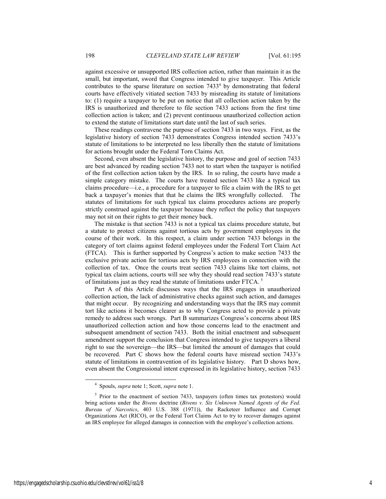against excessive or unsupported IRS collection action, rather than maintain it as the small, but important, sword that Congress intended to give taxpayer. This Article contributes to the sparse literature on section  $7433<sup>4</sup>$  by demonstrating that federal courts have effectively vitiated section 7433 by misreading its statute of limitations to: (1) require a taxpayer to be put on notice that all collection action taken by the IRS is unauthorized and therefore to file section 7433 actions from the first time collection action is taken; and (2) prevent continuous unauthorized collection action to extend the statute of limitations start date until the last of such series.

These readings contravene the purpose of section 7433 in two ways. First, as the legislative history of section 7433 demonstrates Congress intended section 7433's statute of limitations to be interpreted no less liberally then the statute of limitations for actions brought under the Federal Torn Claims Act.

Second, even absent the legislative history, the purpose and goal of section 7433 are best advanced by reading section 7433 not to start when the taxpayer is notified of the first collection action taken by the IRS. In so ruling, the courts have made a simple category mistake. The courts have treated section 7433 like a typical tax claims procedure—i.e., a procedure for a taxpayer to file a claim with the IRS to get back a taxpayer's monies that that he claims the IRS wrongfully collected. The statutes of limitations for such typical tax claims procedures actions are properly strictly construed against the taxpayer because they reflect the policy that taxpayers may not sit on their rights to get their money back.

The mistake is that section 7433 is not a typical tax claims procedure statute, but a statute to protect citizens against tortious acts by government employees in the course of their work. In this respect, a claim under section 7433 belongs in the category of tort claims against federal employees under the Federal Tort Claim Act (FTCA). This is further supported by Congress's action to make section 7433 the exclusive private action for tortious acts by IRS employees in connection with the collection of tax. Once the courts treat section 7433 claims like tort claims, not typical tax claim actions, courts will see why they should read section 7433's statute of limitations just as they read the statute of limitations under FTCA. 5

Part A of this Article discusses ways that the IRS engages in unauthorized collection action, the lack of administrative checks against such action, and damages that might occur. By recognizing and understanding ways that the IRS may commit tort like actions it becomes clearer as to why Congress acted to provide a private remedy to address such wrongs. Part B summarizes Congress's concerns about IRS unauthorized collection action and how those concerns lead to the enactment and subsequent amendment of section 7433. Both the initial enactment and subsequent amendment support the conclusion that Congress intended to give taxpayers a liberal right to sue the sovereign—the IRS—but limited the amount of damages that could be recovered. Part C shows how the federal courts have misread section 7433's statute of limitations in contravention of its legislative history. Part D shows how, even absent the Congressional intent expressed in its legislative history, section 7433

 <sup>4</sup> Spouls, *supra* note 1; Scott, *supra* note 1.

<sup>&</sup>lt;sup>5</sup> Prior to the enactment of section 7433, taxpayers (often times tax protestors) would bring actions under the *Bivens* doctrine (*Bivens v. Six Unknown Named Agents of the Fed. Bureau of Narcotics*, 403 U.S. 388 (1971)), the Racketeer Influence and Corrupt Organizations Act (RICO), or the Federal Tort Claims Act to try to recover damages against an IRS employee for alleged damages in connection with the employee's collection actions.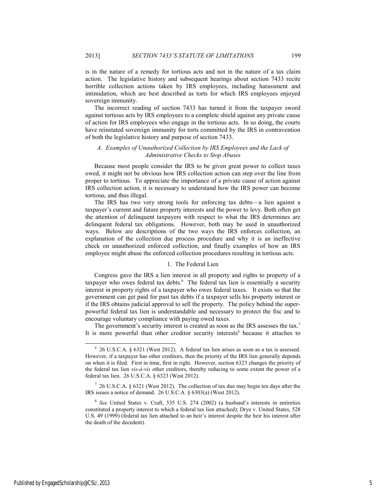is in the nature of a remedy for tortious acts and not in the nature of a tax claim action. The legislative history and subsequent hearings about section 7433 recite horrible collection actions taken by IRS employees, including harassment and intimidation, which are best described as torts for which IRS employees enjoyed sovereign immunity.

The incorrect reading of section 7433 has turned it from the taxpayer sword against tortious acts by IRS employees to a complete shield against any private cause of action for IRS employees who engage in the tortious acts. In so doing, the courts have reinstated sovereign immunity for torts committed by the IRS in contravention of both the legislative history and purpose of section 7433.

# *A. Examples of Unauthorized Collection by IRS Employees and the Lack of Administrative Checks to Stop Abuses*

Because most people consider the IRS to be given great power to collect taxes owed, it might not be obvious how IRS collection action can step over the line from proper to tortious. To appreciate the importance of a private cause of action against IRS collection action, it is necessary to understand how the IRS power can become tortious, and thus illegal.

The IRS has two very strong tools for enforcing tax debts—a lien against a taxpayer's current and future property interests and the power to levy. Both often get the attention of delinquent taxpayers with respect to what the IRS determines are delinquent federal tax obligations. However, both may be used in unauthorized ways. Below are descriptions of the two ways the IRS enforces collection, an explanation of the collection due process procedure and why it is an ineffective check on unauthorized enforced collection, and finally examples of how an IRS employee might abuse the enforced collection procedures resulting in tortious acts.

# 1. The Federal Lien

Congress gave the IRS a lien interest in all property and rights to property of a taxpayer who owes federal tax debts.<sup>6</sup> The federal tax lien is essentially a security interest in property rights of a taxpayer who owes federal taxes. It exists so that the government can get paid for past tax debts if a taxpayer sells his property interest or if the IRS obtains judicial approval to sell the property. The policy behind the superpowerful federal tax lien is understandable and necessary to protect the fisc and to encourage voluntary compliance with paying owed taxes.

The government's security interest is created as soon as the IRS assesses the tax.<sup>7</sup> It is more powerful than other creditor security interests<sup>8</sup> because it attaches to

 <sup>6</sup>  $6$  26 U.S.C.A. § 6321 (West 2012). A federal tax lien arises as soon as a tax is assessed. However, if a taxpayer has other creditors, then the priority of the IRS lien generally depends on when it is filed. First in time, first in right. However, section 6323 changes the priority of the federal tax lien *vis-à-vis* other creditors, thereby reducing to some extent the power of a federal tax lien. 26 U.S.C.A. § 6323 (West 2012).

 $7\,$  26 U.S.C.A. § 6321 (West 2012). The collection of tax due may begin ten days after the IRS issues a notice of demand. 26 U.S.C.A. § 6303(a) (West 2012).

<sup>8</sup> *See* United States v. Craft, 535 U.S. 274 (2002) (a husband's interests in entireties constituted a property interest to which a federal tax lien attached); Drye v. United States, 528 U.S. 49 (1999) (federal tax lien attached to an heir's interest despite the heir his interest after the death of the decedent).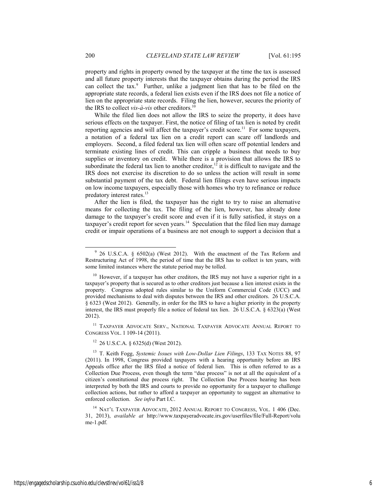property and rights in property owned by the taxpayer at the time the tax is assessed and all future property interests that the taxpayer obtains during the period the IRS can collect the tax.<sup>9</sup> Further, unlike a judgment lien that has to be filed on the appropriate state records, a federal lien exists even if the IRS does not file a notice of lien on the appropriate state records. Filing the lien, however, secures the priority of the IRS to collect *vis-à-vis* other creditors.<sup>10</sup>

While the filed lien does not allow the IRS to seize the property, it does have serious effects on the taxpayer. First, the notice of filing of tax lien is noted by credit reporting agencies and will affect the taxpayer's credit score.<sup>11</sup> For some taxpayers, a notation of a federal tax lien on a credit report can scare off landlords and employers. Second, a filed federal tax lien will often scare off potential lenders and terminate existing lines of credit. This can cripple a business that needs to buy supplies or inventory on credit. While there is a provision that allows the IRS to subordinate the federal tax lien to another creditor,<sup>12</sup> it is difficult to navigate and the IRS does not exercise its discretion to do so unless the action will result in some substantial payment of the tax debt. Federal lien filings even have serious impacts on low income taxpayers, especially those with homes who try to refinance or reduce predatory interest rates.<sup>13</sup>

After the lien is filed, the taxpayer has the right to try to raise an alternative means for collecting the tax. The filing of the lien, however, has already done damage to the taxpayer's credit score and even if it is fully satisfied, it stays on a taxpayer's credit report for seven years.<sup>14</sup> Speculation that the filed lien may damage credit or impair operations of a business are not enough to support a decision that a

11 TAXPAYER ADVOCATE SERV., NATIONAL TAXPAYER ADVOCATE ANNUAL REPORT TO CONGRESS VOL. 1 109-14 (2011).

 $12$  26 U.S.C.A. § 6325(d) (West 2012).

 <sup>9</sup> 26 U.S.C.A. § 6502(a) (West 2012). With the enactment of the Tax Reform and Restructuring Act of 1998, the period of time that the IRS has to collect is ten years, with some limited instances where the statute period may be tolled.

<sup>&</sup>lt;sup>10</sup> However, if a taxpayer has other creditors, the IRS may not have a superior right in a taxpayer's property that is secured as to other creditors just because a lien interest exists in the property. Congress adopted rules similar to the Uniform Commercial Code (UCC) and provided mechanisms to deal with disputes between the IRS and other creditors. 26 U.S.C.A. § 6323 (West 2012). Generally, in order for the IRS to have a higher priority in the property interest, the IRS must properly file a notice of federal tax lien. 26 U.S.C.A. § 6323(a) (West 2012).

<sup>13</sup> T. Keith Fogg, *Systemic Issues with Low-Dollar Lien Filings*, 133 TAX NOTES 88, 97 (2011). In 1998, Congress provided taxpayers with a hearing opportunity before an IRS Appeals office after the IRS filed a notice of federal lien. This is often referred to as a Collection Due Process, even though the term "due process" is not at all the equivalent of a citizen's constitutional due process right. The Collection Due Process hearing has been interpreted by both the IRS and courts to provide no opportunity for a taxpayer to challenge collection actions, but rather to afford a taxpayer an opportunity to suggest an alternative to enforced collection. *See infra* Part I.C.

<sup>&</sup>lt;sup>14</sup> NAT'L TAXPAYER ADVOCATE, 2012 ANNUAL REPORT TO CONGRESS, VOL. 1 406 (Dec. 31, 2013), *available at* http://www.taxpayeradvocate.irs.gov/userfiles/file/Full-Report/volu me-1.pdf.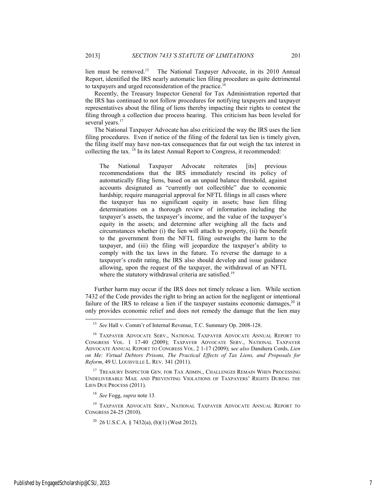lien must be removed.<sup>15</sup> The National Taxpayer Advocate, in its 2010 Annual Report, identified the IRS nearly automatic lien filing procedure as quite detrimental to taxpayers and urged reconsideration of the practice.<sup>16</sup>

Recently, the Treasury Inspector General for Tax Administration reported that the IRS has continued to not follow procedures for notifying taxpayers and taxpayer representatives about the filing of liens thereby impacting their rights to contest the filing through a collection due process hearing. This criticism has been leveled for several years.<sup>17</sup>

The National Taxpayer Advocate has also criticized the way the IRS uses the lien filing procedures. Even if notice of the filing of the federal tax lien is timely given, the filing itself may have non-tax consequences that far out weigh the tax interest in collecting the tax.  $^{18}$  In its latest Annual Report to Congress, it recommended:

The National Taxpayer Advocate reiterates [its] previous recommendations that the IRS immediately rescind its policy of automatically filing liens, based on an unpaid balance threshold, against accounts designated as "currently not collectible" due to economic hardship; require managerial approval for NFTL filings in all cases where the taxpayer has no significant equity in assets; base lien filing determinations on a thorough review of information including the taxpayer's assets, the taxpayer's income, and the value of the taxpayer's equity in the assets; and determine after weighing all the facts and circumstances whether (i) the lien will attach to property, (ii) the benefit to the government from the NFTL filing outweighs the harm to the taxpayer, and (iii) the filing will jeopardize the taxpayer's ability to comply with the tax laws in the future. To reverse the damage to a taxpayer's credit rating, the IRS also should develop and issue guidance allowing, upon the request of the taxpayer, the withdrawal of an NFTL where the statutory withdrawal criteria are satisfied.<sup>19</sup>

Further harm may occur if the IRS does not timely release a lien. While section 7432 of the Code provides the right to bring an action for the negligent or intentional failure of the IRS to release a lien if the taxpayer sustains economic damages,<sup>20</sup> it only provides economic relief and does not remedy the damage that the lien may

<sup>18</sup> *See* Fogg, *supra* note 13*.*

19 TAXPAYER ADVOCATE SERV., NATIONAL TAXPAYER ADVOCATE ANNUAL REPORT TO CONGRESS 24-25 (2010).

<sup>20</sup> 26 U.S.C.A. § 7432(a), (b)(1) (West 2012).

 <sup>15</sup> *See* Hall v. Comm'r of Internal Revenue, T.C. Summary Op. 2008-128.

<sup>&</sup>lt;sup>16</sup> TAXPAYER ADVOCATE SERV., NATIONAL TAXPAYER ADVOCATE ANNUAL REPORT TO CONGRESS VOL. 1 17-40 (2009); TAXPAYER ADVOCATE SERV., NATIONAL TAXPAYER ADVOCATE ANNUAL REPORT TO CONGRESS VOL. 2 1-17 (2009); s*ee also* Danshera Cords, *Lien on Me: Virtual Debtors Prisons, The Practical Effects of Tax Liens, and Proposals for Reform*, 49 U. LOUISVILLE L. REV. 341 (2011).

<sup>&</sup>lt;sup>17</sup> TREASURY INSPECTOR GEN. FOR TAX ADMIN., CHALLENGES REMAIN WHEN PROCESSING UNDELIVERABLE MAIL AND PREVENTING VIOLATIONS OF TAXPAYERS' RIGHTS DURING THE LIEN DUE PROCESS (2011).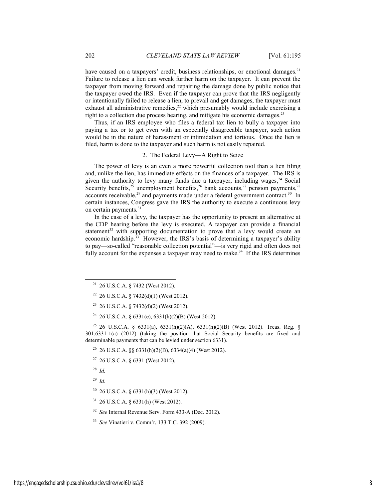have caused on a taxpayers' credit, business relationships, or emotional damages.<sup>21</sup> Failure to release a lien can wreak further harm on the taxpayer. It can prevent the taxpayer from moving forward and repairing the damage done by public notice that the taxpayer owed the IRS. Even if the taxpayer can prove that the IRS negligently or intentionally failed to release a lien, to prevail and get damages, the taxpayer must exhaust all administrative remedies, $2^{2}$  which presumably would include exercising a right to a collection due process hearing, and mitigate his economic damages.<sup>23</sup>

Thus, if an IRS employee who files a federal tax lien to bully a taxpayer into paying a tax or to get even with an especially disagreeable taxpayer, such action would be in the nature of harassment or intimidation and tortious. Once the lien is filed, harm is done to the taxpayer and such harm is not easily repaired.

# 2. The Federal Levy—A Right to Seize

The power of levy is an even a more powerful collection tool than a lien filing and, unlike the lien, has immediate effects on the finances of a taxpayer. The IRS is given the authority to levy many funds due a taxpayer, including wages,  $24$  Social Security benefits,<sup>25</sup> unemployment benefits,<sup>26</sup> bank accounts,<sup>27</sup> pension payments,<sup>28</sup> accounts receivable,<sup>29</sup> and payments made under a federal government contract.<sup>30</sup> In certain instances, Congress gave the IRS the authority to execute a continuous levy on certain payments.<sup>31</sup>

In the case of a levy, the taxpayer has the opportunity to present an alternative at the CDP hearing before the levy is executed. A taxpayer can provide a financial statement<sup>32</sup> with supporting documentation to prove that a levy would create an economic hardship.<sup>33</sup> However, the IRS's basis of determining a taxpayer's ability to pay—so-called "reasonable collection potential"—is very rigid and often does not fully account for the expenses a taxpayer may need to make.<sup>34</sup> If the IRS determines

<sup>25</sup> 26 U.S.C.A. § 6331(a), 6331(h)(2)(A), 6331(h)(2)(B) (West 2012). Treas. Reg. § 301.6331-1(a) (2012) (taking the position that Social Security benefits are fixed and determinable payments that can be levied under section 6331).

<sup>26</sup> 26 U.S.C.A. §§ 6331(h)(2)(B), 6334(a)(4) (West 2012).

27 26 U.S.C.A. § 6331 (West 2012).

<sup>28</sup> *Id.*

<sup>29</sup> *Id.*

30 26 U.S.C.A. § 6331(h)(3) (West 2012).

31 26 U.S.C.A. § 6331(h) (West 2012).

<sup>32</sup> *See* Internal Revenue Serv. Form 433-A (Dec. 2012).

<sup>33</sup> *See* Vinatieri v. Comm'r, 133 T.C. 392 (2009).

<sup>&</sup>lt;sup>21</sup> 26 U.S.C.A. § 7432 (West 2012).

<sup>&</sup>lt;sup>22</sup> 26 U.S.C.A. § 7432(d)(1) (West 2012).

 $23$  26 U.S.C.A. § 7432(d)(2) (West 2012).

<sup>&</sup>lt;sup>24</sup> 26 U.S.C.A. § 6331(e), 6331(h)(2)(B) (West 2012).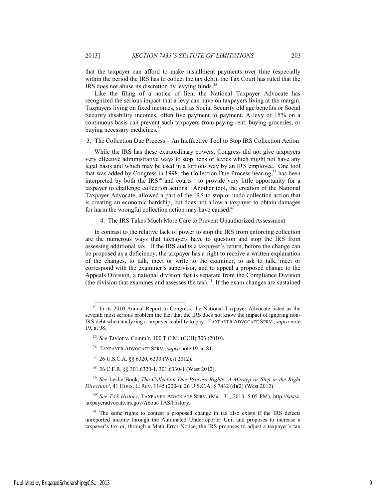that the taxpayer can afford to make installment payments over time (especially within the period the IRS has to collect the tax debt), the Tax Court has ruled that the IRS does not abuse its discretion by levying funds.<sup>35</sup>

Like the filing of a notice of lien, the National Taxpayer Advocate has recognized the serious impact that a levy can have on taxpayers living at the margin. Taxpayers living on fixed incomes, such as Social Security old age benefits or Social Security disability incomes, often live payment to payment. A levy of 15% on a continuous basis can prevent such taxpayers from paying rent, buying groceries, or buying necessary medicines.<sup>36</sup>

## 3. The Collection Due Process—An Ineffective Tool to Stop IRS Collection Action

While the IRS has these extraordinary powers, Congress did not give taxpayers very effective administrative ways to stop liens or levies which might not have any legal basis and which may be used in a tortious way by an IRS employee. One tool that was added by Congress in 1998, the Collection Due Process hearing,<sup>37</sup> has been interpreted by both the  $IRS<sup>38</sup>$  and courts<sup>39</sup> to provide very little opportunity for a taxpayer to challenge collection actions. Another tool, the creation of the National Taxpayer Advocate, allowed a part of the IRS to stop or undo collection action that is creating an economic hardship, but does not allow a taxpayer to obtain damages for harm the wrongful collection action may have caused. $40$ 

4. The IRS Takes Much More Care to Prevent Unauthorized Assessment

In contrast to the relative lack of power to stop the IRS from enforcing collection are the numerous ways that taxpayers have to question and stop the IRS from assessing additional tax. If the IRS audits a taxpayer's return, before the change can be proposed as a deficiency, the taxpayer has a right to receive a written explanation of the changes, to talk, meet or write to the examiner, to ask to talk, meet or correspond with the examiner's supervisor, and to appeal a proposed change to the Appeals Division, a national division that is separate from the Compliance Division (the division that examines and assesses the tax).<sup>41</sup> If the exam changes are sustained

 $\overline{a}$ 

<sup>&</sup>lt;sup>34</sup> In its 2010 Annual Report to Congress, the National Taxpayer Advocate listed as the seventh most serious problem the fact that the IRS does not know the impact of ignoring non-IRS debt when analyzing a taxpayer's ability to pay. TAXPAYER ADVOCATE SERV., *supra* note 19, at 98.

<sup>35</sup> *See* Taylor v. Comm'r, 100 T.C.M. (CCH) 303 (2010).

<sup>36</sup> TAXPAYER ADVOCATE SERV., *supra* note 19, at 81.

<sup>37 26</sup> U.S.C.A. §§ 6320, 6330 (West 2012).

<sup>38 26</sup> C.F.R. §§ 301.6320-1, 301.6330-1 (West 2012).

<sup>39</sup> *See* Leslie Book, *The Collection Due Process Rights: A Misstep or Step in the Right Direction?*, 41 HOUS. L. REV. 1145 (2004); 26 U.S.C.A. § 7432 (d)(2) (West 2012).

<sup>40</sup> *See TAS History*, TAXPAYER ADVOCATE SERV. (Mar. 31, 2013, 5:05 PM), http://www. taxpayeradvocate.irs.gov/About-TAS/History.

 $41$  The same rights to contest a proposed change in tax also exists if the IRS detects unreported income through the Automated Underreporter Unit and proposes to increase a taxpayer's tax or, through a Math Error Notice, the IRS proposes to adjust a taxpayer's tax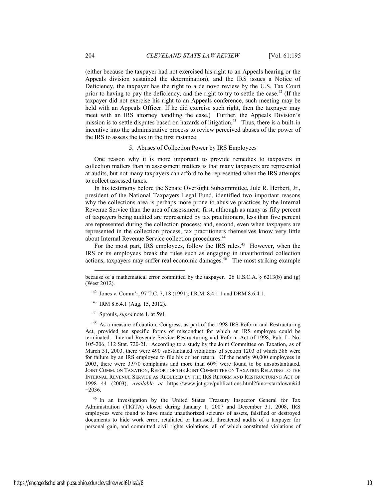(either because the taxpayer had not exercised his right to an Appeals hearing or the Appeals division sustained the determination), and the IRS issues a Notice of Deficiency, the taxpayer has the right to a de novo review by the U.S. Tax Court prior to having to pay the deficiency, and the right to try to settle the case.<sup>42</sup> (If the taxpayer did not exercise his right to an Appeals conference, such meeting may be held with an Appeals Officer. If he did exercise such right, then the taxpayer may meet with an IRS attorney handling the case.) Further, the Appeals Division's mission is to settle disputes based on hazards of litigation.<sup>43</sup> Thus, there is a built-in incentive into the administrative process to review perceived abuses of the power of the IRS to assess the tax in the first instance.

#### 5. Abuses of Collection Power by IRS Employees

One reason why it is more important to provide remedies to taxpayers in collection matters than in assessment matters is that many taxpayers are represented at audits, but not many taxpayers can afford to be represented when the IRS attempts to collect assessed taxes.

In his testimony before the Senate Oversight Subcommittee, Jule R. Herbert, Jr., president of the National Taxpayers Legal Fund, identified two important reasons why the collections area is perhaps more prone to abusive practices by the Internal Revenue Service than the area of assessment: first, although as many as fifty percent of taxpayers being audited are represented by tax practitioners, less than five percent are represented during the collection process; and, second, even when taxpayers are represented in the collection process, tax practitioners themselves know very little about Internal Revenue Service collection procedures.<sup>44</sup>

For the most part, IRS employees, follow the IRS rules.<sup>45</sup> However, when the IRS or its employees break the rules such as engaging in unauthorized collection actions, taxpayers may suffer real economic damages.46 The most striking example

42 Jones v. Comm'r, 97 T.C. 7, 18 (1991); I.R.M. 8.4.1.1 and DRM 8.6.4.1.

43 IRM 8.6.4.1 (Aug. 15, 2012).

l

44 Sprouls, *supra* note 1, at 591*.*

<sup>45</sup> As a measure of caution, Congress, as part of the 1998 IRS Reform and Restructuring Act, provided ten specific forms of misconduct for which an IRS employee could be terminated. Internal Revenue Service Restructuring and Reform Act of 1998, Pub. L. No. 105-206, 112 Stat. 720-21. According to a study by the Joint Committee on Taxation, as of March 31, 2003, there were 490 substantiated violations of section 1203 of which 386 were for failure by an IRS employee to file his or her return. Of the nearly 90,000 employees in 2003, there were 3,970 complaints and more than 60% were found to be unsubstantiated. JOINT COMM. ON TAXATION, REPORT OF THE JOINT COMMITTEE ON TAXATION RELATING TO THE INTERNAL REVENUE SERVICE AS REQUIRED BY THE IRS REFORM AND RESTRUCTURING ACT OF 1998 44 (2003), *available at* https://www.jct.gov/publications.html?func=startdown&id  $=2036.$ 

<sup>46</sup> In an investigation by the United States Treasury Inspector General for Tax Administration (TIGTA) closed during January 1, 2007 and December 31, 2008, IRS employees were found to have made unauthorized seizures of assets, falsified or destroyed documents to hide work error, retaliated or harassed, threatened audits of a taxpayer for personal gain, and committed civil rights violations, all of which constituted violations of

because of a mathematical error committed by the taxpayer. 26 U.S.C.A. § 6213(b) and (g) (West 2012).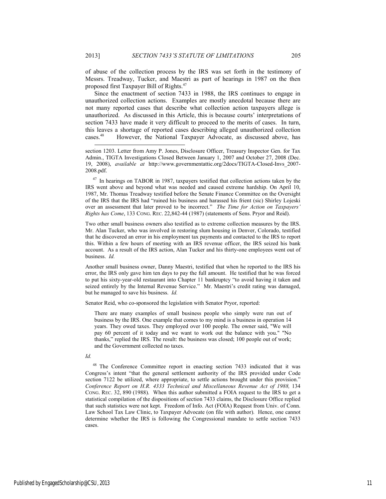of abuse of the collection process by the IRS was set forth in the testimony of Messrs. Treadway, Tucker, and Maestri as part of hearings in 1987 on the then proposed first Taxpayer Bill of Rights.47

Since the enactment of section 7433 in 1988, the IRS continues to engage in unauthorized collection actions. Examples are mostly anecdotal because there are not many reported cases that describe what collection action taxpayers allege is unauthorized. As discussed in this Article, this is because courts' interpretations of section 7433 have made it very difficult to proceed to the merits of cases. In turn, this leaves a shortage of reported cases describing alleged unauthorized collection cases.48 However, the National Taxpayer Advocate, as discussed above, has

section 1203. Letter from Amy P. Jones, Disclosure Officer, Treasury Inspector Gen. for Tax Admin., TIGTA Investigations Closed Between January 1, 2007 and October 27, 2008 (Dec. 19, 2008), *available at* http://www.governmentattic.org/2docs/TIGTA-Closed-Invs\_2007- 2008.pdf.

<sup>47</sup> In hearings on TABOR in 1987, taxpayers testified that collection actions taken by the IRS went above and beyond what was needed and caused extreme hardship. On April 10, 1987, Mr. Thomas Treadway testified before the Senate Finance Committee on the Oversight of the IRS that the IRS had "ruined his business and harassed his frient (sic) Shirley Lojeski over an assessment that later proved to be incorrect." *The Time for Action on Taxpayers' Rights has Come*, 133 CONG. REC. 22,842-44 (1987) (statements of Sens. Pryor and Reid).

Two other small business owners also testified as to extreme collection measures by the IRS. Mr. Alan Tucker, who was involved in restoring slum housing in Denver, Colorado, testified that he discovered an error in his employment tax payments and contacted to the IRS to report this. Within a few hours of meeting with an IRS revenue officer, the IRS seized his bank account. As a result of the IRS action, Alan Tucker and his thirty-one employees went out of business. *Id.*

Another small business owner, Danny Maestri, testified that when he reported to the IRS his error, the IRS only gave him ten days to pay the full amount. He testified that he was forced to put his sixty-year-old restaurant into Chapter 11 bankruptcy "to avoid having it taken and seized entirely by the Internal Revenue Service." Mr. Maestri's credit rating was damaged, but he managed to save his business. *Id.* 

Senator Reid, who co-sponsored the legislation with Senator Pryor, reported:

There are many examples of small business people who simply were run out of business by the IRS. One example that comes to my mind is a business in operation 14 years. They owed taxes. They employed over 100 people. The owner said, "We will pay 60 percent of it today and we want to work out the balance with you." "No thanks," replied the IRS. The result: the business was closed; 100 people out of work; and the Government collected no taxes.

# *Id.*

l

48 The Conference Committee report in enacting section 7433 indicated that it was Congress's intent "that the general settlement authority of the IRS provided under Code section 7122 be utilized, where appropriate, to settle actions brought under this provision." *Conference Report on H.R. 4333 Technical and Miscellaneous Revenue Act of 1988,* 134 CONG. REC. 32, 890 (1988). When this author submitted a FOIA request to the IRS to get a statistical compilation of the dispositions of section 7433 claims, the Disclosure Office replied that such statistics were not kept. Freedom of Info. Act (FOIA) Request from Univ. of Conn. Law School Tax Law Clinic, to Taxpayer Advocate (on file with author). Hence, one cannot determine whether the IRS is following the Congressional mandate to settle section 7433 cases.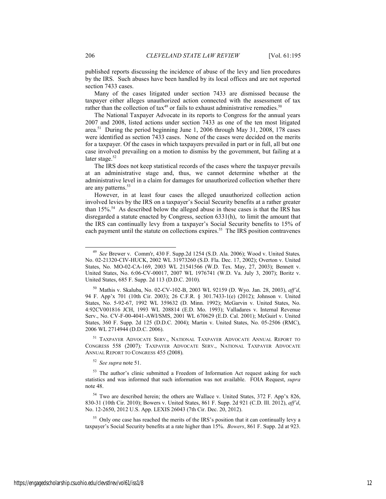published reports discussing the incidence of abuse of the levy and lien procedures by the IRS. Such abuses have been handled by its local offices and are not reported section 7433 cases.

Many of the cases litigated under section 7433 are dismissed because the taxpayer either alleges unauthorized action connected with the assessment of tax rather than the collection of tax<sup>49</sup> or fails to exhaust administrative remedies.<sup>50</sup>

The National Taxpayer Advocate in its reports to Congress for the annual years 2007 and 2008, listed actions under section 7433 as one of the ten most litigated area.51 During the period beginning June 1, 2006 through May 31, 2008, 178 cases were identified as section 7433 cases. None of the cases were decided on the merits for a taxpayer. Of the cases in which taxpayers prevailed in part or in full, all but one case involved prevailing on a motion to dismiss by the government, but failing at a later stage. $52$ 

The IRS does not keep statistical records of the cases where the taxpayer prevails at an administrative stage and, thus, we cannot determine whether at the administrative level in a claim for damages for unauthorized collection whether there are any patterns.<sup>53</sup>

However, in at least four cases the alleged unauthorized collection action involved levies by the IRS on a taxpayer's Social Security benefits at a rather greater than 15%.<sup>54</sup> As described below the alleged abuse in these cases is that the IRS has disregarded a statute enacted by Congress, section 6331(h), to limit the amount that the IRS can continually levy from a taxpayer's Social Security benefits to 15% of each payment until the statute on collections expires.<sup>55</sup> The IRS position contravenes

51 TAXPAYER ADVOCATE SERV., NATIONAL TAXPAYER ADVOCATE ANNUAL REPORT TO CONGRESS 558 (2007)*;* TAXPAYER ADVOCATE SERV., NATIONAL TAXPAYER ADVOCATE ANNUAL REPORT TO CONGRESS 455 (2008).

<sup>52</sup> *See supra* note 51.

 <sup>49</sup> *See* Brewer v. Comm'r, 430 F. Supp.2d 1254 (S.D. Ala. 2006); Wood v. United States*,*  No. 02-21320-CIV-HUCK, 2002 WL 31973260 (S.D. Fla. Dec. 17, 2002); Overton v. United States, No. MO-02-CA-169, 2003 WL 21541566 (W.D. Tex. May, 27, 2003); Bennett v. United States, No. 6:06-CV-00017, 2007 WL 1976741 (W.D. Va. July 3, 2007); Boritz v. United States, 685 F. Supp. 2d 113 (D.D.C. 2010).

 <sup>50</sup> Mathis v. Skaluba, No. 02-CV-102-B, 2003 WL 92159 (D. Wyo. Jan. 28, 2003), *aff'd*, 94 F. App'x 701 (10th Cir. 2003); 26 C.F.R. § 301.7433-1(e) (2012); Johnson v. United States, No. 5-92-67, 1992 WL 359632 (D. Minn. 1992); McGarvin v. United States, No. 4:92CV001816 JCH, 1993 WL 208814 (E.D. Mo. 1993); Valladares v. Internal Revenue Serv., No. CV-F-00-4041-AWI/SMS, 2001 WL 670629 (E.D. Cal. 2001); McGuirl v. United States, 360 F. Supp. 2d 125 (D.D.C. 2004); Martin v. United States, No. 05-2506 (RMC), 2006 WL 2714944 (D.D.C. 2006).

<sup>&</sup>lt;sup>53</sup> The author's clinic submitted a Freedom of Information Act request asking for such statistics and was informed that such information was not available. FOIA Request, *supra* note 48.

<sup>&</sup>lt;sup>54</sup> Two are described herein; the others are Wallace v. United States, 372 F. App'x 826, 830-31 (10th Cir. 2010); Bowers v. United States, 861 F. Supp. 2d 921 (C.D. Ill. 2012), *aff'd*, No. 12-2650, 2012 U.S. App. LEXIS 26043 (7th Cir. Dec. 20, 2012).

<sup>&</sup>lt;sup>55</sup> Only one case has reached the merits of the IRS's position that it can continually levy a taxpayer's Social Security benefits at a rate higher than 15%. *Bowers*, 861 F. Supp. 2d at 923.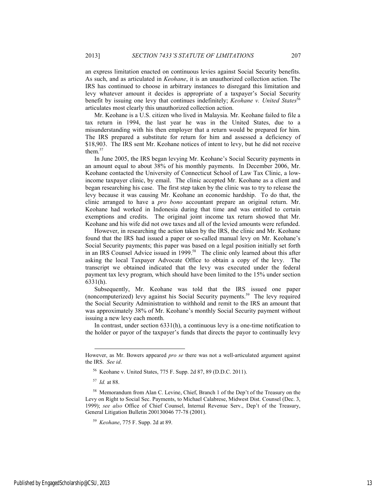an express limitation enacted on continuous levies against Social Security benefits. As such, and as articulated in *Keohane*, it is an unauthorized collection action. The IRS has continued to choose in arbitrary instances to disregard this limitation and levy whatever amount it decides is appropriate of a taxpayer's Social Security benefit by issuing one levy that continues indefinitely; *Keohane v. United States*<sup>56</sup> articulates most clearly this unauthorized collection action.

Mr. Keohane is a U.S. citizen who lived in Malaysia. Mr. Keohane failed to file a tax return in 1994, the last year he was in the United States, due to a misunderstanding with his then employer that a return would be prepared for him. The IRS prepared a substitute for return for him and assessed a deficiency of \$18,903. The IRS sent Mr. Keohane notices of intent to levy, but he did not receive them.<sup>57</sup>

In June 2005, the IRS began levying Mr. Keohane's Social Security payments in an amount equal to about 38% of his monthly payments. In December 2006, Mr. Keohane contacted the University of Connecticut School of Law Tax Clinic, a lowincome taxpayer clinic, by email. The clinic accepted Mr. Keohane as a client and began researching his case. The first step taken by the clinic was to try to release the levy because it was causing Mr. Keohane an economic hardship. To do that, the clinic arranged to have a *pro bono* accountant prepare an original return. Mr. Keohane had worked in Indonesia during that time and was entitled to certain exemptions and credits. The original joint income tax return showed that Mr. Keohane and his wife did not owe taxes and all of the levied amounts were refunded.

However, in researching the action taken by the IRS, the clinic and Mr. Keohane found that the IRS had issued a paper or so-called manual levy on Mr. Keohane's Social Security payments; this paper was based on a legal position initially set forth in an IRS Counsel Advice issued in 1999.<sup>58</sup> The clinic only learned about this after asking the local Taxpayer Advocate Office to obtain a copy of the levy. The transcript we obtained indicated that the levy was executed under the federal payment tax levy program, which should have been limited to the 15% under section 6331(h).

Subsequently, Mr. Keohane was told that the IRS issued one paper (noncomputerized) levy against his Social Security payments.59 The levy required the Social Security Administration to withhold and remit to the IRS an amount that was approximately 38% of Mr. Keohane's monthly Social Security payment without issuing a new levy each month.

In contrast, under section 6331(h), a continuous levy is a one-time notification to the holder or payor of the taxpayer's funds that directs the payor to continually levy

<sup>57</sup> *Id.* at 88.

 $\overline{a}$ 

However, as Mr. Bowers appeared *pro se* there was not a well-articulated argument against the IRS. *See id*.

<sup>56</sup> Keohane v. United States, 775 F. Supp. 2d 87, 89 (D.D.C. 2011).

<sup>58</sup> Memorandum from Alan C. Levine, Chief, Branch 1 of the Dep't of the Treasury on the Levy on Right to Social Sec. Payments, to Michael Calabrese, Midwest Dist. Counsel (Dec. 3, 1999); *see also* Office of Chief Counsel, Internal Revenue Serv., Dep't of the Treasury, General Litigation Bulletin 200130046 77-78 (2001).

<sup>59</sup> *Keohane*, 775 F. Supp. 2d at 89.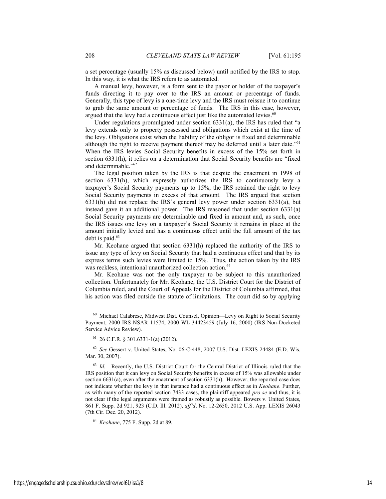a set percentage (usually 15% as discussed below) until notified by the IRS to stop. In this way, it is what the IRS refers to as automated.

A manual levy, however, is a form sent to the payor or holder of the taxpayer's funds directing it to pay over to the IRS an amount or percentage of funds. Generally, this type of levy is a one-time levy and the IRS must reissue it to continue to grab the same amount or percentage of funds. The IRS in this case, however, argued that the levy had a continuous effect just like the automated levies. $60$ 

Under regulations promulgated under section 6331(a), the IRS has ruled that "a levy extends only to property possessed and obligations which exist at the time of the levy. Obligations exist when the liability of the obligor is fixed and determinable although the right to receive payment thereof may be deferred until a later date."61 When the IRS levies Social Security benefits in excess of the 15% set forth in section 6331(h), it relies on a determination that Social Security benefits are "fixed and determinable."62

The legal position taken by the IRS is that despite the enactment in 1998 of section 6331(h), which expressly authorizes the IRS to continuously levy a taxpayer's Social Security payments up to 15%, the IRS retained the right to levy Social Security payments in excess of that amount. The IRS argued that section 6331(h) did not replace the IRS's general levy power under section 6331(a), but instead gave it an additional power. The IRS reasoned that under section 6331(a) Social Security payments are determinable and fixed in amount and, as such, once the IRS issues one levy on a taxpayer's Social Security it remains in place at the amount initially levied and has a continuous effect until the full amount of the tax debt is paid.<sup>63</sup>

Mr. Keohane argued that section 6331(h) replaced the authority of the IRS to issue any type of levy on Social Security that had a continuous effect and that by its express terms such levies were limited to 15%. Thus, the action taken by the IRS was reckless, intentional unauthorized collection action.<sup>64</sup>

Mr. Keohane was not the only taxpayer to be subject to this unauthorized collection. Unfortunately for Mr. Keohane, the U.S. District Court for the District of Columbia ruled, and the Court of Appeals for the District of Columbia affirmed, that his action was filed outside the statute of limitations. The court did so by applying

<sup>64</sup> *Keohane*, 775 F. Supp. 2d at 89.

 <sup>60</sup> Michael Calabrese, Midwest Dist. Counsel, Opinion—Levy on Right to Social Security Payment, 2000 IRS NSAR 11574, 2000 WL 34423459 (July 16, 2000) (IRS Non-Docketed Service Advice Review).

 $61$  26 C.F.R. § 301.6331-1(a) (2012).

<sup>62</sup> *See* Gessert v. United States, No. 06-C-448, 2007 U.S. Dist. LEXIS 24484 (E.D. Wis. Mar. 30, 2007).

<sup>&</sup>lt;sup>63</sup> *Id.* Recently, the U.S. District Court for the Central District of Illinois ruled that the IRS position that it can levy on Social Security benefits in excess of 15% was allowable under section 6631(a), even after the enactment of section 6331(h). However, the reported case does not indicate whether the levy in that instance had a continuous effect as in *Keohane*. Further, as with many of the reported section 7433 cases, the plaintiff appeared *pro se* and thus, it is not clear if the legal arguments were framed as robustly as possible. Bowers v. United States, 861 F. Supp. 2d 921, 923 (C.D. Ill. 2012), *aff'd*, No. 12-2650, 2012 U.S. App. LEXIS 26043 (7th Cir. Dec. 20, 2012).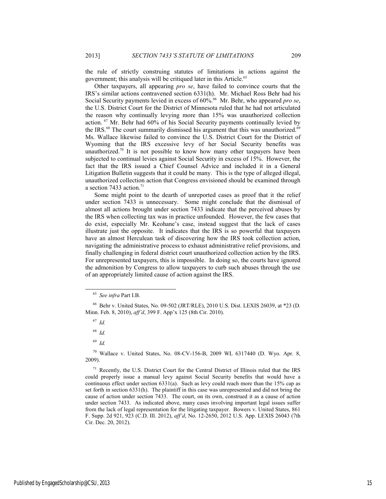the rule of strictly construing statutes of limitations in actions against the government; this analysis will be critiqued later in this Article.<sup>65</sup>

Other taxpayers, all appearing *pro se*, have failed to convince courts that the IRS's similar actions contravened section 6331(h). Mr. Michael Ross Behr had his Social Security payments levied in excess of  $60\%$ <sup>66</sup> Mr. Behr, who appeared *pro se*, the U.S. District Court for the District of Minnesota ruled that he had not articulated the reason why continually levying more than 15% was unauthorized collection action. 67 Mr. Behr had 60% of his Social Security payments continually levied by the IRS. $^{68}$  The court summarily dismissed his argument that this was unauthorized. $^{69}$ Ms. Wallace likewise failed to convince the U.S. District Court for the District of Wyoming that the IRS excessive levy of her Social Security benefits was unauthorized.<sup>70</sup> It is not possible to know how many other taxpayers have been subjected to continual levies against Social Security in excess of 15%. However, the fact that the IRS issued a Chief Counsel Advice and included it in a General Litigation Bulletin suggests that it could be many. This is the type of alleged illegal, unauthorized collection action that Congress envisioned should be examined through a section 7433 action.<sup>71</sup>

Some might point to the dearth of unreported cases as proof that it the relief under section 7433 is unnecessary. Some might conclude that the dismissal of almost all actions brought under section 7433 indicate that the perceived abuses by the IRS when collecting tax was in practice unfounded. However, the few cases that do exist, especially Mr. Keohane's case, instead suggest that the lack of cases illustrate just the opposite. It indicates that the IRS is so powerful that taxpayers have an almost Herculean task of discovering how the IRS took collection action, navigating the administrative process to exhaust administrative relief provisions, and finally challenging in federal district court unauthorized collection action by the IRS. For unrepresented taxpayers, this is impossible. In doing so, the courts have ignored the admonition by Congress to allow taxpayers to curb such abuses through the use of an appropriately limited cause of action against the IRS.

<sup>67</sup> *Id.*

 $70$  Wallace v. United States, No. 08-CV-156-B, 2009 WL 6317440 (D. Wyo. Apr. 8, 2009).

<sup>71</sup> Recently, the U.S. District Court for the Central District of Illinois ruled that the IRS could properly issue a manual levy against Social Security benefits that would have a continuous effect under section 6331(a). Such as levy could reach more than the 15% cap as set forth in section 6331(h). The plaintiff in this case was unrepresented and did not bring the cause of action under section 7433. The court, on its own, construed it as a cause of action under section 7433. As indicated above, many cases involving important legal issues suffer from the lack of legal representation for the litigating taxpayer. Bowers v. United States, 861 F. Supp. 2d 921, 923 (C.D. Ill. 2012), *aff'd*, No. 12-2650, 2012 U.S. App. LEXIS 26043 (7th Cir. Dec. 20, 2012).

 <sup>65</sup> *See infra* Part I.B.

<sup>66</sup> Behr v. United States, No. 09-502 (JRT/RLE), 2010 U.S. Dist. LEXIS 26039, at \*23 (D. Minn. Feb. 8, 2010), *aff'd*, 399 F. App'x 125 (8th Cir. 2010).

<sup>68</sup> *Id.*

<sup>69</sup> *Id.*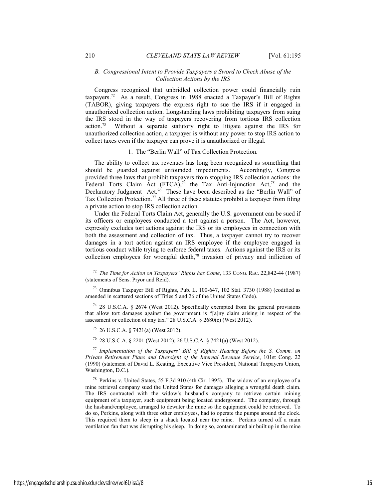## *B. Congressional Intent to Provide Taxpayers a Sword to Check Abuse of the Collection Actions by the IRS*

Congress recognized that unbridled collection power could financially ruin taxpayers.72 As a result, Congress in 1988 enacted a Taxpayer's Bill of Rights (TABOR), giving taxpayers the express right to sue the IRS if it engaged in unauthorized collection action. Longstanding laws prohibiting taxpayers from suing the IRS stood in the way of taxpayers recovering from tortious IRS collection action.73 Without a separate statutory right to litigate against the IRS for unauthorized collection action, a taxpayer is without any power to stop IRS action to collect taxes even if the taxpayer can prove it is unauthorized or illegal.

#### 1. The "Berlin Wall" of Tax Collection Protection.

The ability to collect tax revenues has long been recognized as something that should be guarded against unfounded impediments. Accordingly, Congress provided three laws that prohibit taxpayers from stopping IRS collection actions: the Federal Torts Claim Act (FTCA),<sup>74</sup> the Tax Anti-Injunction Act,<sup>75</sup> and the Declaratory Judgment Act.<sup>76</sup> These have been described as the "Berlin Wall" of Tax Collection Protection.<sup>77</sup> All three of these statutes prohibit a taxpayer from filing a private action to stop IRS collection action.

Under the Federal Torts Claim Act, generally the U.S. government can be sued if its officers or employees conducted a tort against a person. The Act, however, expressly excludes tort actions against the IRS or its employees in connection with both the assessment and collection of tax. Thus, a taxpayer cannot try to recover damages in a tort action against an IRS employee if the employee engaged in tortious conduct while trying to enforce federal taxes. Actions against the IRS or its collection employees for wrongful death,78 invasion of privacy and infliction of

75 26 U.S.C.A. § 7421(a) (West 2012).

76 28 U.S.C.A. § 2201 (West 2012); 26 U.S.C.A. § 7421(a) (West 2012).

<sup>77</sup> *Implementation of the Taxpayers' Bill of Rights: Hearing Before the S. Comm. on Private Retirement Plans and Oversight of the Internal Revenue Service*, 101st Cong. 22 (1990) (statement of David L. Keating, Executive Vice President, National Taxpayers Union, Washington, D.C.).

<sup>78</sup> Perkins v. United States, 55 F.3d 910 (4th Cir. 1995). The widow of an employee of a mine retrieval company sued the United States for damages alleging a wrongful death claim. The IRS contracted with the widow's husband's company to retrieve certain mining equipment of a taxpayer, such equipment being located underground. The company, through the husband/employee, arranged to dewater the mine so the equipment could be retrieved. To do so, Perkins, along with three other employees, had to operate the pumps around the clock. This required them to sleep in a shack located near the mine. Perkins turned off a main ventilation fan that was disrupting his sleep. In doing so, contaminated air built up in the mine

 <sup>72</sup> *The Time for Action on Taxpayers' Rights has Come*, 133 CONG. REC. 22,842-44 (1987) (statements of Sens. Pryor and Reid).

<sup>73</sup> Omnibus Taxpayer Bill of Rights, Pub. L. 100-647, 102 Stat. 3730 (1988) (codified as amended in scattered sections of Titles 5 and 26 of the United States Code).

 $74$  28 U.S.C.A. § 2674 (West 2012). Specifically exempted from the general provisions that allow tort damages against the government is "[a]ny claim arising in respect of the assessment or collection of any tax." 28 U.S.C.A. § 2680(c) (West 2012).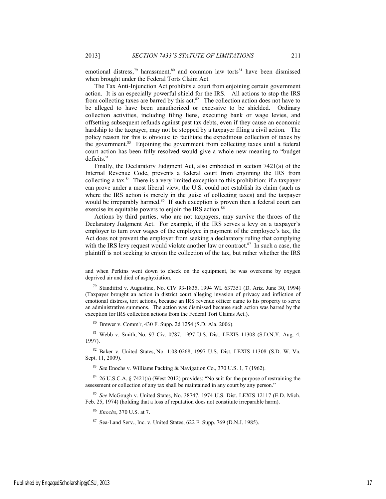emotional distress,<sup>79</sup> harassment,<sup>80</sup> and common law torts<sup>81</sup> have been dismissed when brought under the Federal Torts Claim Act.

The Tax Anti-Injunction Act prohibits a court from enjoining certain government action. It is an especially powerful shield for the IRS. All actions to stop the IRS from collecting taxes are barred by this act.<sup>82</sup> The collection action does not have to be alleged to have been unauthorized or excessive to be shielded. Ordinary collection activities, including filing liens, executing bank or wage levies, and offsetting subsequent refunds against past tax debts, even if they cause an economic hardship to the taxpayer, may not be stopped by a taxpayer filing a civil action. The policy reason for this is obvious: to facilitate the expeditious collection of taxes by the government.<sup>83</sup> Enjoining the government from collecting taxes until a federal court action has been fully resolved would give a whole new meaning to "budget deficits."

Finally, the Declaratory Judgment Act, also embodied in section 7421(a) of the Internal Revenue Code, prevents a federal court from enjoining the IRS from collecting a tax.84 There is a very limited exception to this prohibition: if a taxpayer can prove under a most liberal view, the U.S. could not establish its claim (such as where the IRS action is merely in the guise of collecting taxes) and the taxpayer would be irreparably harmed.<sup>85</sup> If such exception is proven then a federal court can exercise its equitable powers to enjoin the IRS action.<sup>86</sup>

Actions by third parties, who are not taxpayers, may survive the throes of the Declaratory Judgment Act. For example, if the IRS serves a levy on a taxpayer's employer to turn over wages of the employee in payment of the employee's tax, the Act does not prevent the employer from seeking a declaratory ruling that complying with the IRS levy request would violate another law or contract. $87$  In such a case, the plaintiff is not seeking to enjoin the collection of the tax, but rather whether the IRS

80 Brewer v. Comm'r, 430 F. Supp. 2d 1254 (S.D. Ala. 2006).

81 Webb v. Smith, No. 97 Civ. 0787, 1997 U.S. Dist. LEXIS 11308 (S.D.N.Y. Aug. 4, 1997).

82 Baker v. United States, No. 1:08-0268, 1997 U.S. Dist. LEXIS 11308 (S.D. W. Va. Sept. 11, 2009).

<sup>83</sup> *Se*e Enochs v. Williams Packing & Navigation Co., 370 U.S. 1, 7 (1962).

 $84$  26 U.S.C.A. § 7421(a) (West 2012) provides: "No suit for the purpose of restraining the assessment or collection of any tax shall be maintained in any court by any person."

<sup>85</sup> *See* McGough v. United States, No. 38747, 1974 U.S. Dist. LEXIS 12117 (E.D. Mich. Feb. 25, 1974) (holding that a loss of reputation does not constitute irreparable harm).

<sup>86</sup> *Enochs*, 370 U.S. at 7.

 $87$  Sea-Land Serv., Inc. v. United States, 622 F. Supp. 769 (D.N.J. 1985).

 $\overline{a}$ 

and when Perkins went down to check on the equipment, he was overcome by oxygen deprived air and died of asphyxiation.

 $79$  Standifird v. Augustine, No. CIV 93-1835, 1994 WL 637351 (D. Ariz. June 30, 1994) (Taxpayer brought an action in district court alleging invasion of privacy and infliction of emotional distress, tort actions, because an IRS revenue officer came to his property to serve an administrative summons. The action was dismissed because such action was barred by the exception for IRS collection actions from the Federal Tort Claims Act.).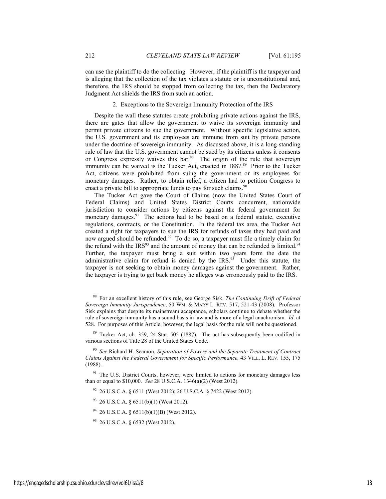can use the plaintiff to do the collecting. However, if the plaintiff is the taxpayer and is alleging that the collection of the tax violates a statute or is unconstitutional and, therefore, the IRS should be stopped from collecting the tax, then the Declaratory Judgment Act shields the IRS from such an action.

# 2. Exceptions to the Sovereign Immunity Protection of the IRS

Despite the wall these statutes create prohibiting private actions against the IRS, there are gates that allow the government to waive its sovereign immunity and permit private citizens to sue the government. Without specific legislative action, the U.S. government and its employees are immune from suit by private persons under the doctrine of sovereign immunity. As discussed above, it is a long-standing rule of law that the U.S. government cannot be sued by its citizens unless it consents or Congress expressly waives this bar.<sup>88</sup> The origin of the rule that sovereign immunity can be waived is the Tucker Act, enacted in 1887.<sup>89</sup> Prior to the Tucker Act, citizens were prohibited from suing the government or its employees for monetary damages. Rather, to obtain relief, a citizen had to petition Congress to enact a private bill to appropriate funds to pay for such claims.<sup>90</sup>

The Tucker Act gave the Court of Claims (now the United States Court of Federal Claims) and United States District Courts concurrent, nationwide jurisdiction to consider actions by citizens against the federal government for monetary damages.<sup>91</sup> The actions had to be based on a federal statute, executive regulations, contracts, or the Constitution. In the federal tax area, the Tucker Act created a right for taxpayers to sue the IRS for refunds of taxes they had paid and now argued should be refunded.<sup>92</sup> To do so, a taxpayer must file a timely claim for the refund with the  $IRS<sup>93</sup>$  and the amount of money that can be refunded is limited.<sup>94</sup> Further, the taxpayer must bring a suit within two years form the date the administrative claim for refund is denied by the IRS.<sup>95</sup> Under this statute, the taxpayer is not seeking to obtain money damages against the government. Rather, the taxpayer is trying to get back money he alleges was erroneously paid to the IRS.

- 92 26 U.S.C.A. § 6511 (West 2012); 26 U.S.C.A. § 7422 (West 2012).
- $93$  26 U.S.C.A. § 6511(b)(1) (West 2012).
- $94$  26 U.S.C.A. § 6511(b)(1)(B) (West 2012).

 <sup>88</sup> For an excellent history of this rule, see George Sisk, *The Continuing Drift of Federal Sovereign Immunity Jurisprudence*, 50 WM. & MARY L. REV. 517, 521-43 (2008). Professor Sisk explains that despite its mainstream acceptance, scholars continue to debate whether the rule of sovereign immunity has a sound basis in law and is more of a legal anachronism. *Id*. at 528. For purposes of this Article, however, the legal basis for the rule will not be questioned.

<sup>89</sup> Tucker Act, ch. 359, 24 Stat. 505 (1887). The act has subsequently been codified in various sections of Title 28 of the United States Code.

<sup>90</sup> *See* Richard H. Seamon, *Separation of Powers and the Separate Treatment of Contract Claims Against the Federal Government for Specific Performance,* 43 VILL. L. REV. 155, 175 (1988).

 $91$  The U.S. District Courts, however, were limited to actions for monetary damages less than or equal to \$10,000. *See* 28 U.S.C.A. 1346(a)(2) (West 2012).

<sup>95 26</sup> U.S.C.A. § 6532 (West 2012).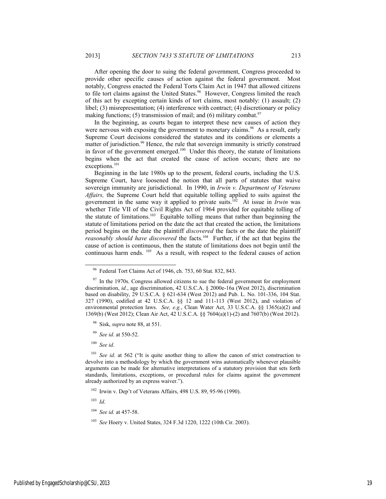After opening the door to suing the federal government, Congress proceeded to provide other specific causes of action against the federal government. Most notably, Congress enacted the Federal Torts Claim Act in 1947 that allowed citizens to file tort claims against the United States.<sup>96</sup> However, Congress limited the reach of this act by excepting certain kinds of tort claims, most notably: (1) assault; (2) libel; (3) misrepresentation; (4) interference with contract; (4) discretionary or policy making functions; (5) transmission of mail; and (6) military combat.<sup>97</sup>

In the beginning, as courts began to interpret these new causes of action they were nervous with exposing the government to monetary claims.<sup>98</sup> As a result, early Supreme Court decisions considered the statutes and its conditions or elements a matter of jurisdiction.<sup>99</sup> Hence, the rule that sovereign immunity is strictly construed in favor of the government emerged.<sup>100</sup> Under this theory, the statute of limitations begins when the act that created the cause of action occurs; there are no exceptions.<sup>101</sup>

Beginning in the late 1980s up to the present, federal courts, including the U.S. Supreme Court, have loosened the notion that all parts of statutes that waive sovereign immunity are jurisdictional. In 1990, in *Irwin v. Department of Veterans Affairs,* the Supreme Court held that equitable tolling applied to suits against the government in the same way it applied to private suits.102 At issue in *Irwin* was whether Title VII of the Civil Rights Act of 1964 provided for equitable tolling of the statute of limitations.103 Equitable tolling means that rather than beginning the statute of limitations period on the date the act that created the action, the limitations period begins on the date the plaintiff *discovered* the facts or the date the plaintiff *reasonably should have discovered* the facts.<sup>104</sup> Further, if the act that begins the cause of action is continuous, then the statute of limitations does not begin until the continuous harm ends. 105 As a result, with respect to the federal causes of action

<sup>100</sup> *See id*.

<sup>101</sup> *See id.* at 562 ("It is quite another thing to allow the canon of strict construction to devolve into a methodology by which the government wins automatically whenever plausible arguments can be made for alternative interpretations of a statutory provision that sets forth standards, limitations, exceptions, or procedural rules for claims against the government already authorized by an express waiver.").

102 Irwin v. Dep't of Veterans Affairs, 498 U.S. 89, 95-96 (1990).

<sup>103</sup> *Id*.

 <sup>96</sup> Federal Tort Claims Act of 1946, ch. 753, 60 Stat. 832, 843.

 $97$  In the 1970s. Congress allowed citizens to sue the federal government for employment discrimination, *id.*, age discrimination, 42 U.S.C.A. § 2000e-16a (West 2012), discrimination based on disability, 29 U.S.C.A. § 621-634 (West 2012) and Pub. L. No. 101-336, 104 Stat. 327 (1990), codified at 42 U.S.C.A. §§ 12 and 111-113 (West 2012), and violation of environmental protection laws. *See, e.g.*, Clean Water Act, 33 U.S.C.A. §§ 1365(a)(2) and 1369(b) (West 2012); Clean Air Act, 42 U.S.C.A. §§ 7604(a)(1)-(2) and 7607(b) (West 2012).

<sup>98</sup> Sisk, *supra* note 88, at 551.

<sup>99</sup> *See id*. at 550-52.

<sup>104</sup> *See id.* at 457-58.

<sup>105</sup> *See* Hoery v. United States, 324 F.3d 1220, 1222 (10th Cir. 2003).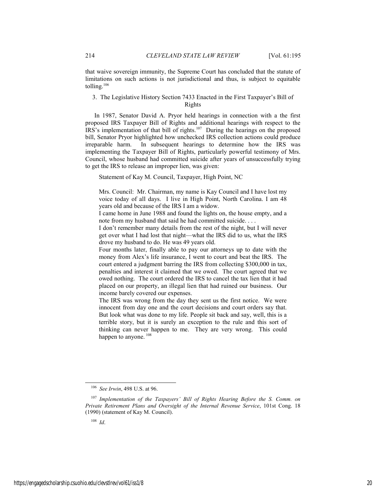that waive sovereign immunity, the Supreme Court has concluded that the statute of limitations on such actions is not jurisdictional and thus, is subject to equitable tolling. $106$ 

# 3. The Legislative History Section 7433 Enacted in the First Taxpayer's Bill of Rights

In 1987, Senator David A. Pryor held hearings in connection with a the first proposed IRS Taxpayer Bill of Rights and additional hearings with respect to the IRS's implementation of that bill of rights.107 During the hearings on the proposed bill, Senator Pryor highlighted how unchecked IRS collection actions could produce irreparable harm. In subsequent hearings to determine how the IRS was implementing the Taxpayer Bill of Rights, particularly powerful testimony of Mrs. Council, whose husband had committed suicide after years of unsuccessfully trying to get the IRS to release an improper lien, was given:

Statement of Kay M. Council, Taxpayer, High Point, NC

Mrs. Council: Mr. Chairman, my name is Kay Council and I have lost my voice today of all days. I live in High Point, North Carolina. I am 48 years old and because of the IRS I am a widow.

I came home in June 1988 and found the lights on, the house empty, and a note from my husband that said he had committed suicide. . . .

I don't remember many details from the rest of the night, but I will never get over what I had lost that night—what the IRS did to us, what the IRS drove my husband to do. He was 49 years old.

Four months later, finally able to pay our attorneys up to date with the money from Alex's life insurance, I went to court and beat the IRS. The court entered a judgment barring the IRS from collecting \$300,000 in tax, penalties and interest it claimed that we owed. The court agreed that we owed nothing. The court ordered the IRS to cancel the tax lien that it had placed on our property, an illegal lien that had ruined our business. Our income barely covered our expenses.

The IRS was wrong from the day they sent us the first notice. We were innocent from day one and the court decisions and court orders say that. But look what was done to my life. People sit back and say, well, this is a terrible story, but it is surely an exception to the rule and this sort of thinking can never happen to me. They are very wrong. This could happen to anyone.<sup>108</sup>

 <sup>106</sup> *See Irwin*, 498 U.S. at 96.

<sup>107</sup> *Implementation of the Taxpayers' Bill of Rights Hearing Before the S. Comm. on Private Retirement Plans and Oversight of the Internal Revenue Service*, 101st Cong. 18 (1990) (statement of Kay M. Council).

<sup>108</sup> *Id*.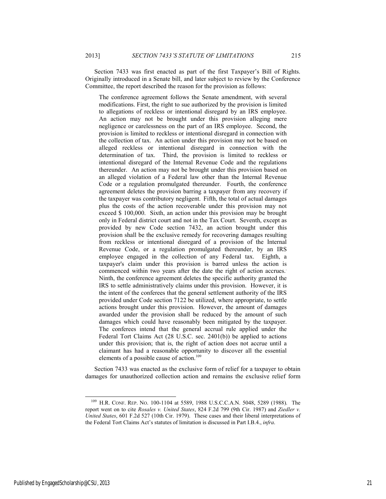Section 7433 was first enacted as part of the first Taxpayer's Bill of Rights. Originally introduced in a Senate bill, and later subject to review by the Conference Committee, the report described the reason for the provision as follows:

The conference agreement follows the Senate amendment, with several modifications. First, the right to sue authorized by the provision is limited to allegations of reckless or intentional disregard by an IRS employee. An action may not be brought under this provision alleging mere negligence or carelessness on the part of an IRS employee. Second, the provision is limited to reckless or intentional disregard in connection with the collection of tax. An action under this provision may not be based on alleged reckless or intentional disregard in connection with the determination of tax. Third, the provision is limited to reckless or intentional disregard of the Internal Revenue Code and the regulations thereunder. An action may not be brought under this provision based on an alleged violation of a Federal law other than the Internal Revenue Code or a regulation promulgated thereunder. Fourth, the conference agreement deletes the provision barring a taxpayer from any recovery if the taxpayer was contributory negligent. Fifth, the total of actual damages plus the costs of the action recoverable under this provision may not exceed \$ 100,000. Sixth, an action under this provision may be brought only in Federal district court and not in the Tax Court. Seventh, except as provided by new Code section 7432, an action brought under this provision shall be the exclusive remedy for recovering damages resulting from reckless or intentional disregard of a provision of the Internal Revenue Code, or a regulation promulgated thereunder, by an IRS employee engaged in the collection of any Federal tax. Eighth, a taxpayer's claim under this provision is barred unless the action is commenced within two years after the date the right of action accrues.. Ninth, the conference agreement deletes the specific authority granted the IRS to settle administratively claims under this provision. However, it is the intent of the conferees that the general settlement authority of the IRS provided under Code section 7122 be utilized, where appropriate, to settle actions brought under this provision. However, the amount of damages awarded under the provision shall be reduced by the amount of such damages which could have reasonably been mitigated by the taxpayer. The conferees intend that the general accrual rule applied under the Federal Tort Claims Act (28 U.S.C. sec. 2401(b)) be applied to actions under this provision; that is, the right of action does not accrue until a claimant has had a reasonable opportunity to discover all the essential elements of a possible cause of action.<sup>109</sup>

Section 7433 was enacted as the exclusive form of relief for a taxpayer to obtain damages for unauthorized collection action and remains the exclusive relief form

 <sup>109</sup> H.R. CONF. REP. NO. 100-1104 at 5589, 1988 U.S.C.C.A.N. 5048, 5289 (1988). The report went on to cite *Rosales v. United States*, 824 F.2d 799 (9th Cir. 1987) and *Ziedler v. United States*, 601 F.2d 527 (10th Cir. 1979). These cases and their liberal interpretations of the Federal Tort Claims Act's statutes of limitation is discussed in Part I.B.4., *infra*.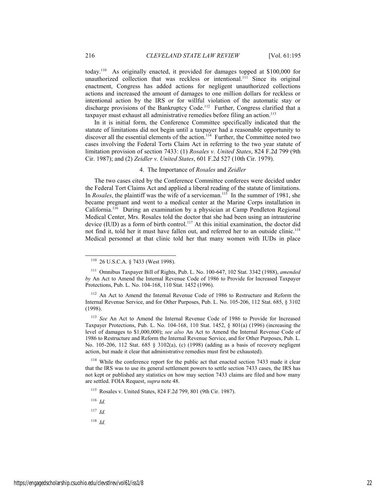today.110 As originally enacted, it provided for damages topped at \$100,000 for unauthorized collection that was reckless or intentional.111 Since its original enactment, Congress has added actions for negligent unauthorized collections actions and increased the amount of damages to one million dollars for reckless or intentional action by the IRS or for willful violation of the automatic stay or discharge provisions of the Bankruptcy Code.<sup>112</sup> Further, Congress clarified that a taxpayer must exhaust all administrative remedies before filing an action.<sup>113</sup>

In it is initial form, the Conference Committee specifically indicated that the statute of limitations did not begin until a taxpayer had a reasonable opportunity to discover all the essential elements of the action.<sup>114</sup> Further, the Committee noted two cases involving the Federal Torts Claim Act in referring to the two year statute of limitation provision of section 7433: (1) *Rosales v. United States*, 824 F.2d 799 (9th Cir. 1987); and (2) *Zeidler v. United States*, 601 F.2d 527 (10th Cir. 1979).

# 4. The Importance of *Rosales* and *Zeidler*

The two cases cited by the Conference Committee conferees were decided under the Federal Tort Claims Act and applied a liberal reading of the statute of limitations. In *Rosales*, the plaintiff was the wife of a serviceman.<sup>115</sup> In the summer of 1981, she became pregnant and went to a medical center at the Marine Corps installation in California.116 During an examination by a physician at Camp Pendleton Regional Medical Center, Mrs. Rosales told the doctor that she had been using an intrauterine device (IUD) as a form of birth control.<sup>117</sup> At this initial examination, the doctor did not find it, told her it must have fallen out, and referred her to an outside clinic.<sup>118</sup> Medical personnel at that clinic told her that many women with IUDs in place

<sup>116</sup> *Id.*

<sup>117</sup> *Id.*

<sup>118</sup> *Id.*

 <sup>110 26</sup> U.S.C.A. § 7433 (West 1998).

<sup>111</sup> Omnibus Taxpayer Bill of Rights, Pub. L. No. 100-647, 102 Stat. 3342 (1988), *amended by* An Act to Amend the Internal Revenue Code of 1986 to Provide for Increased Taxpayer Protections, Pub. L. No. 104-168, 110 Stat. 1452 (1996).

<sup>&</sup>lt;sup>112</sup> An Act to Amend the Internal Revenue Code of 1986 to Restructure and Reform the Internal Revenue Service, and for Other Purposes, Pub. L. No. 105-206, 112 Stat. 685, § 3102 (1998).

<sup>113</sup> *See* An Act to Amend the Internal Revenue Code of 1986 to Provide for Increased Taxpayer Protections, Pub. L. No. 104-168, 110 Stat. 1452, § 801(a) (1996) (increasing the level of damages to \$1,000,000); *see also* An Act to Amend the Internal Revenue Code of 1986 to Restructure and Reform the Internal Revenue Service, and for Other Purposes, Pub. L. No. 105-206, 112 Stat. 685 § 3102(a), (c) (1998) (adding as a basis of recovery negligent action, but made it clear that administrative remedies must first be exhausted).

<sup>&</sup>lt;sup>114</sup> While the conference report for the public act that enacted section 7433 made it clear that the IRS was to use its general settlement powers to settle section 7433 cases, the IRS has not kept or published any statistics on how may section 7433 claims are filed and how many are settled. FOIA Request, *supra* note 48.

<sup>115</sup> Rosales v. United States, 824 F.2d 799, 801 (9th Cir. 1987).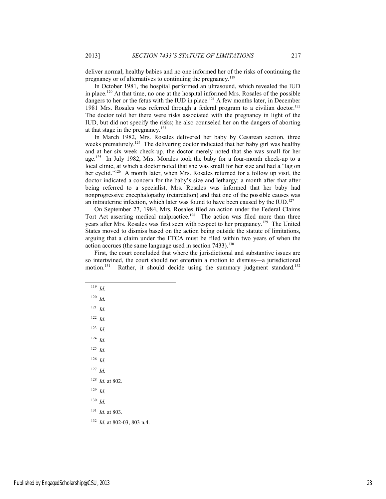deliver normal, healthy babies and no one informed her of the risks of continuing the pregnancy or of alternatives to continuing the pregnancy.119

In October 1981, the hospital performed an ultrasound, which revealed the IUD in place.<sup>120</sup> At that time, no one at the hospital informed Mrs. Rosales of the possible dangers to her or the fetus with the IUD in place.<sup>121</sup> A few months later, in December 1981 Mrs. Rosales was referred through a federal program to a civilian doctor.<sup>122</sup> The doctor told her there were risks associated with the pregnancy in light of the IUD, but did not specify the risks; he also counseled her on the dangers of aborting at that stage in the pregnancy.123

In March 1982, Mrs. Rosales delivered her baby by Cesarean section, three weeks prematurely.<sup>124</sup> The delivering doctor indicated that her baby girl was healthy and at her six week check-up, the doctor merely noted that she was small for her age.125 In July 1982, Mrs. Morales took the baby for a four-month check-up to a local clinic, at which a doctor noted that she was small for her size and had a "lag on her eyelid."<sup>126</sup> A month later, when Mrs. Rosales returned for a follow up visit, the doctor indicated a concern for the baby's size and lethargy; a month after that after being referred to a specialist, Mrs. Rosales was informed that her baby had nonprogressive encephalopathy (retardation) and that one of the possible causes was an intrauterine infection, which later was found to have been caused by the IUD.<sup>127</sup>

On September 27, 1984, Mrs. Rosales filed an action under the Federal Claims Tort Act asserting medical malpractice.<sup>128</sup> The action was filed more than three years after Mrs. Rosales was first seen with respect to her pregnancy.129 The United States moved to dismiss based on the action being outside the statute of limitations, arguing that a claim under the FTCA must be filed within two years of when the action accrues (the same language used in section 7433).<sup>130</sup>

First, the court concluded that where the jurisdictional and substantive issues are so intertwined, the court should not entertain a motion to dismiss—a jurisdictional motion.<sup>131</sup> Rather, it should decide using the summary judgment standard.<sup>132</sup>

 $122$  *Id.* 

<sup>123</sup> *Id.*

<sup>124</sup> *Id.*

<sup>125</sup> *Id.*

<sup>126</sup> *Id.*

<sup>127</sup> *Id.*

<sup>128</sup> *Id.* at 802.

<sup>129</sup> *Id.*

<sup>130</sup> *Id.*

<sup>131</sup> *Id*. at 803.

<sup>132</sup> *Id*. at 802-03, 803 n.4.

 <sup>119</sup> *Id.*

 $120$  *Id.* 

 $121$  *Id.*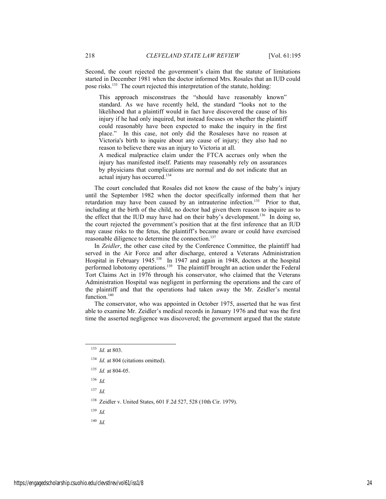Second, the court rejected the government's claim that the statute of limitations started in December 1981 when the doctor informed Mrs. Rosales that an IUD could pose risks.<sup>133</sup> The court rejected this interpretation of the statute, holding:

This approach misconstrues the "should have reasonably known" standard. As we have recently held, the standard "looks not to the likelihood that a plaintiff would in fact have discovered the cause of his injury if he had only inquired, but instead focuses on whether the plaintiff could reasonably have been expected to make the inquiry in the first place." In this case, not only did the Rosaleses have no reason at Victoria's birth to inquire about any cause of injury; they also had no reason to believe there was an injury to Victoria at all.

A medical malpractice claim under the FTCA accrues only when the injury has manifested itself. Patients may reasonably rely on assurances by physicians that complications are normal and do not indicate that an actual injury has occurred.<sup>134</sup>

The court concluded that Rosales did not know the cause of the baby's injury until the September 1982 when the doctor specifically informed them that her retardation may have been caused by an intrauterine infection.<sup>135</sup> Prior to that, including at the birth of the child, no doctor had given them reason to inquire as to the effect that the IUD may have had on their baby's development.<sup>136</sup> In doing so, the court rejected the government's position that at the first inference that an IUD may cause risks to the fetus, the plaintiff's became aware or could have exercised reasonable diligence to determine the connection.<sup>137</sup>

In *Zeidler*, the other case cited by the Conference Committee, the plaintiff had served in the Air Force and after discharge, entered a Veterans Administration Hospital in February 1945.<sup>138</sup> In 1947 and again in 1948, doctors at the hospital performed lobotomy operations.<sup>139</sup> The plaintiff brought an action under the Federal Tort Claims Act in 1976 through his conservator, who claimed that the Veterans Administration Hospital was negligent in performing the operations and the care of the plaintiff and that the operations had taken away the Mr. Zeidler's mental function.<sup>140</sup>

The conservator, who was appointed in October 1975, asserted that he was first able to examine Mr. Zeidler's medical records in January 1976 and that was the first time the asserted negligence was discovered; the government argued that the statute

- <sup>135</sup> *Id.* at 804-05.
- <sup>136</sup> *Id.*
- <sup>137</sup> *Id.*
- 138 Zeidler v. United States, 601 F.2d 527, 528 (10th Cir. 1979).
- <sup>139</sup> *Id.*
- <sup>140</sup> *Id.*

 <sup>133</sup> *Id*. at 803.

<sup>&</sup>lt;sup>134</sup> *Id.* at 804 (citations omitted).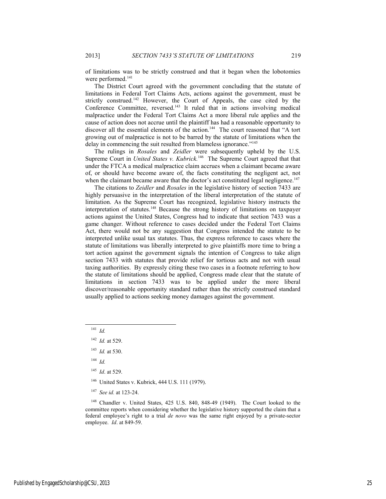of limitations was to be strictly construed and that it began when the lobotomies were performed.<sup>141</sup>

The District Court agreed with the government concluding that the statute of limitations in Federal Tort Claims Acts, actions against the government, must be strictly construed.<sup>142</sup> However, the Court of Appeals, the case cited by the Conference Committee, reversed.<sup>143</sup> It ruled that in actions involving medical malpractice under the Federal Tort Claims Act a more liberal rule applies and the cause of action does not accrue until the plaintiff has had a reasonable opportunity to discover all the essential elements of the action.<sup>144</sup> The court reasoned that "A tort growing out of malpractice is not to be barred by the statute of limitations when the delay in commencing the suit resulted from blameless ignorance."<sup>145</sup>

The rulings in *Rosales* and *Zeidler* were subsequently upheld by the U.S. Supreme Court in *United States v. Kubrick.*146 The Supreme Court agreed that that under the FTCA a medical malpractice claim accrues when a claimant became aware of, or should have become aware of, the facts constituting the negligent act, not when the claimant became aware that the doctor's act constituted legal negligence.<sup>147</sup>

The citations to *Zeidler* and *Rosales* in the legislative history of section 7433 are highly persuasive in the interpretation of the liberal interpretation of the statute of limitation. As the Supreme Court has recognized, legislative history instructs the interpretation of statutes.148 Because the strong history of limitations on taxpayer actions against the United States, Congress had to indicate that section 7433 was a game changer. Without reference to cases decided under the Federal Tort Claims Act, there would not be any suggestion that Congress intended the statute to be interpreted unlike usual tax statutes. Thus, the express reference to cases where the statute of limitations was liberally interpreted to give plaintiffs more time to bring a tort action against the government signals the intention of Congress to take align section 7433 with statutes that provide relief for tortious acts and not with usual taxing authorities. By expressly citing these two cases in a footnote referring to how the statute of limitations should be applied, Congress made clear that the statute of limitations in section 7433 was to be applied under the more liberal discover/reasonable opportunity standard rather than the strictly construed standard usually applied to actions seeking money damages against the government.

- <sup>144</sup> *Id.*
- <sup>145</sup> *Id*. at 529.
- <sup>146</sup> United States v. Kubrick, 444 U.S. 111 (1979).
- <sup>147</sup> *See id.* at 123-24.

148 Chandler v. United States, 425 U.S. 840, 848-49 (1949). The Court looked to the committee reports when considering whether the legislative history supported the claim that a federal employee's right to a trial *de novo* was the same right enjoyed by a private-sector employee. *Id*. at 849-59.

 <sup>141</sup> *Id.*

<sup>142</sup> *Id.* at 529.

<sup>143</sup> *Id.* at 530.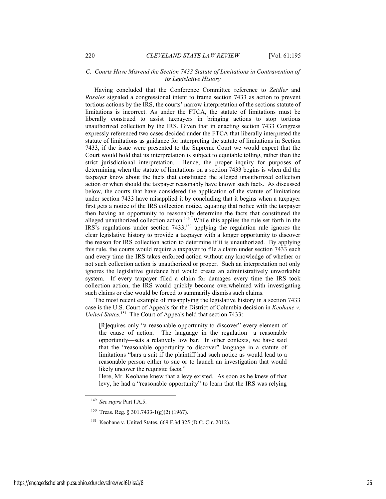# *C. Courts Have Misread the Section 7433 Statute of Limitations in Contravention of its Legislative History*

Having concluded that the Conference Committee reference to *Zeidler* and *Rosales* signaled a congressional intent to frame section 7433 as action to prevent tortious actions by the IRS, the courts' narrow interpretation of the sections statute of limitations is incorrect. As under the FTCA, the statute of limitations must be liberally construed to assist taxpayers in bringing actions to stop tortious unauthorized collection by the IRS. Given that in enacting section 7433 Congress expressly referenced two cases decided under the FTCA that liberally interpreted the statute of limitations as guidance for interpreting the statute of limitations in Section 7433, if the issue were presented to the Supreme Court we would expect that the Court would hold that its interpretation is subject to equitable tolling, rather than the strict jurisdictional interpretation. Hence, the proper inquiry for purposes of determining when the statute of limitations on a section 7433 begins is when did the taxpayer know about the facts that constituted the alleged unauthorized collection action or when should the taxpayer reasonably have known such facts. As discussed below, the courts that have considered the application of the statute of limitations under section 7433 have misapplied it by concluding that it begins when a taxpayer first gets a notice of the IRS collection notice, equating that notice with the taxpayer then having an opportunity to reasonably determine the facts that constituted the alleged unauthorized collection action.<sup>149</sup> While this applies the rule set forth in the IRS's regulations under section 7433,150 applying the regulation rule ignores the clear legislative history to provide a taxpayer with a longer opportunity to discover the reason for IRS collection action to determine if it is unauthorized. By applying this rule, the courts would require a taxpayer to file a claim under section 7433 each and every time the IRS takes enforced action without any knowledge of whether or not such collection action is unauthorized or proper. Such an interpretation not only ignores the legislative guidance but would create an administratively unworkable system. If every taxpayer filed a claim for damages every time the IRS took collection action, the IRS would quickly become overwhelmed with investigating such claims or else would be forced to summarily dismiss such claims.

The most recent example of misapplying the legislative history in a section 7433 case is the U.S. Court of Appeals for the District of Columbia decision in *Keohane v. United States.*<sup>151</sup> The Court of Appeals held that section 7433:

[R]equires only "a reasonable opportunity to discover" every element of the cause of action. The language in the regulation—a reasonable opportunity—sets a relatively low bar. In other contexts, we have said that the "reasonable opportunity to discover" language in a statute of limitations "bars a suit if the plaintiff had such notice as would lead to a reasonable person either to sue or to launch an investigation that would likely uncover the requisite facts."

Here, Mr. Keohane knew that a levy existed. As soon as he knew of that levy, he had a "reasonable opportunity" to learn that the IRS was relying

 <sup>149</sup> *See supra* Part I.A.5.

<sup>150</sup> Treas. Reg. § 301.7433-1(g)(2) (1967).

<sup>&</sup>lt;sup>151</sup> Keohane v. United States, 669 F.3d 325 (D.C. Cir. 2012).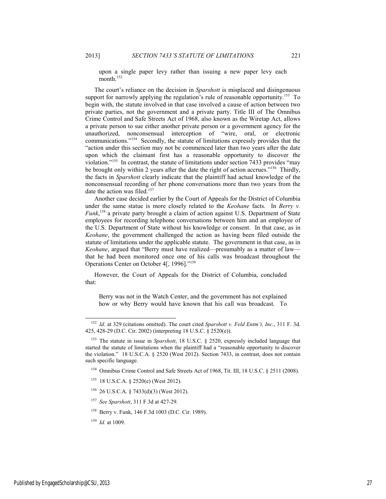upon a single paper levy rather than issuing a new paper levy each month $152$ 

The court's reliance on the decision in *Sparshott* is misplaced and disingenuous support for narrowly applying the regulation's rule of reasonable opportunity.<sup>153</sup> To begin with, the statute involved in that case involved a cause of action between two private parties, not the government and a private party. Title III of The Omnibus Crime Control and Safe Streets Act of 1968, also known as the Wiretap Act, allows a private person to sue either another private person or a government agency for the unauthorized, nonconsensual interception of "wire, oral, or electronic communications."154 Secondly, the statute of limitations expressly provides that the "action under this section may not be commenced later than two years after the date upon which the claimant first has a reasonable opportunity to discover the violation."155 In contrast, the statute of limitations under section 7433 provides "may be brought only within 2 years after the date the right of action accrues."<sup>156</sup> Thirdly, the facts in *Sparshott* clearly indicate that the plaintiff had actual knowledge of the nonconsensual recording of her phone conversations more than two years from the date the action was filed.<sup>157</sup>

Another case decided earlier by the Court of Appeals for the District of Columbia under the same statue is more closely related to the *Keohane* facts. In *Berry v. Funk*, 158 a private party brought a claim of action against U.S. Department of State employees for recording telephone conversations between him and an employee of the U.S. Department of State without his knowledge or consent. In that case, as in *Keohane*, the government challenged the action as having been filed outside the statute of limitations under the applicable statute. The government in that case, as in *Keohane*, argued that "Berry must have realized—presumably as a matter of law that he had been monitored once one of his calls was broadcast throughout the Operations Center on October 4[, 1996]."159

However, the Court of Appeals for the District of Columbia, concluded that:

Berry was not in the Watch Center, and the government has not explained how or why Berry would have known that his call was broadcast. To

- 155 18 U.S.C.A. § 2520(e) (West 2012).
- 156 26 U.S.C.A. § 7433(d)(3) (West 2012).
- <sup>157</sup> *See Sparshott*, 311 F.3d at 427-29.
- 158 Berry v. Funk, 146 F.3d 1003 (D.C. Cir. 1989).
- <sup>159</sup> *Id.* at 1009.

 <sup>152</sup> *Id*. at 329 (citations omitted). The court cited *Sparshott v. Feld Entm't, Inc*., 311 F. 3d. 425, 428-29 (D.C. Cir. 2002) (interpreting 18 U.S.C. § 2520(e)).

<sup>153</sup> The statute in issue in *Sparshott*, 18 U.S.C. § 2520, expressly included language that started the statute of limitations when the plaintiff had a "reasonable opportunity to discover the violation." 18 U.S.C.A. § 2520 (West 2012). Section 7433, in contrast, does not contain such specific language.

<sup>&</sup>lt;sup>154</sup> Omnibus Crime Control and Safe Streets Act of 1968, Tit. III, 18 U.S.C. § 2511 (2008).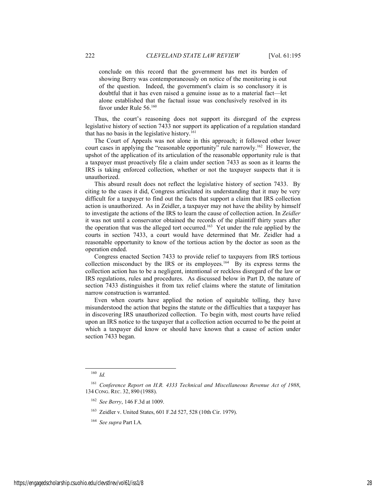conclude on this record that the government has met its burden of showing Berry was contemporaneously on notice of the monitoring is out of the question. Indeed, the government's claim is so conclusory it is doubtful that it has even raised a genuine issue as to a material fact—let alone established that the factual issue was conclusively resolved in its favor under Rule 56.<sup>160</sup>

Thus, the court's reasoning does not support its disregard of the express legislative history of section 7433 nor support its application of a regulation standard that has no basis in the legislative history.<sup>161</sup>

The Court of Appeals was not alone in this approach; it followed other lower court cases in applying the "reasonable opportunity" rule narrowly.<sup>162</sup> However, the upshot of the application of its articulation of the reasonable opportunity rule is that a taxpayer must proactively file a claim under section 7433 as soon as it learns the IRS is taking enforced collection, whether or not the taxpayer suspects that it is unauthorized.

This absurd result does not reflect the legislative history of section 7433. By citing to the cases it did, Congress articulated its understanding that it may be very difficult for a taxpayer to find out the facts that support a claim that IRS collection action is unauthorized. As in Zeidler, a taxpayer may not have the ability by himself to investigate the actions of the IRS to learn the cause of collection action. In *Zeidler* it was not until a conservator obtained the records of the plaintiff thirty years after the operation that was the alleged tort occurred.<sup>163</sup> Yet under the rule applied by the courts in section 7433, a court would have determined that Mr. Zeidler had a reasonable opportunity to know of the tortious action by the doctor as soon as the operation ended.

Congress enacted Section 7433 to provide relief to taxpayers from IRS tortious collection misconduct by the IRS or its employees.<sup>164</sup> By its express terms the collection action has to be a negligent, intentional or reckless disregard of the law or IRS regulations, rules and procedures. As discussed below in Part D, the nature of section 7433 distinguishes it from tax relief claims where the statute of limitation narrow construction is warranted.

Even when courts have applied the notion of equitable tolling, they have misunderstood the action that begins the statute or the difficulties that a taxpayer has in discovering IRS unauthorized collection. To begin with, most courts have relied upon an IRS notice to the taxpayer that a collection action occurred to be the point at which a taxpayer did know or should have known that a cause of action under section 7433 began.

 <sup>160</sup> *Id.*

<sup>161</sup> *Conference Report on H.R. 4333 Technical and Miscellaneous Revenue Act of 1988*, 134 CONG. REC. 32, 890 (1988).

<sup>162</sup> *See Berry*, 146 F.3d at 1009.

<sup>163</sup> Zeidler v. United States, 601 F.2d 527, 528 (10th Cir. 1979).

<sup>164</sup> *See supra* Part I.A*.*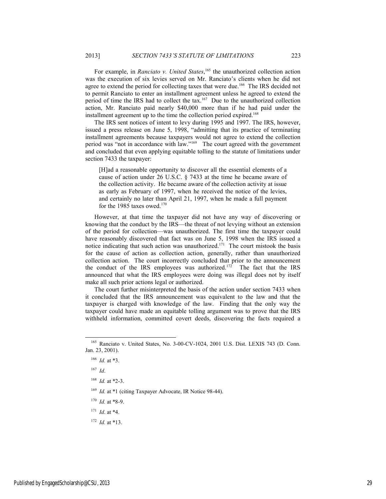For example, in *Ranciato v. United States*, 165 the unauthorized collection action was the execution of six levies served on Mr. Ranciato's clients when he did not agree to extend the period for collecting taxes that were due.<sup>166</sup> The IRS decided not to permit Ranciato to enter an installment agreement unless he agreed to extend the period of time the IRS had to collect the tax.<sup>167</sup> Due to the unauthorized collection action, Mr. Ranciato paid nearly \$40,000 more than if he had paid under the installment agreement up to the time the collection period expired.<sup>168</sup>

The IRS sent notices of intent to levy during 1995 and 1997. The IRS, however, issued a press release on June 5, 1998, "admitting that its practice of terminating installment agreements because taxpayers would not agree to extend the collection period was "not in accordance with law."169 The court agreed with the government and concluded that even applying equitable tolling to the statute of limitations under section 7433 the taxpayer:

[H]ad a reasonable opportunity to discover all the essential elements of a cause of action under 26 U.S.C. § 7433 at the time he became aware of the collection activity. He became aware of the collection activity at issue as early as February of 1997, when he received the notice of the levies, and certainly no later than April 21, 1997, when he made a full payment for the 1985 taxes owed. $170$ 

However, at that time the taxpayer did not have any way of discovering or knowing that the conduct by the IRS—the threat of not levying without an extension of the period for collection—was unauthorized. The first time the taxpayer could have reasonably discovered that fact was on June 5, 1998 when the IRS issued a notice indicating that such action was unauthorized.<sup>171</sup> The court mistook the basis for the cause of action as collection action, generally, rather than unauthorized collection action. The court incorrectly concluded that prior to the announcement the conduct of the IRS employees was authorized.<sup>172</sup> The fact that the IRS announced that what the IRS employees were doing was illegal does not by itself make all such prior actions legal or authorized.

The court further misinterpreted the basis of the action under section 7433 when it concluded that the IRS announcement was equivalent to the law and that the taxpayer is charged with knowledge of the law. Finding that the only way the taxpayer could have made an equitable tolling argument was to prove that the IRS withheld information, committed covert deeds, discovering the facts required a

<sup>167</sup> *Id*.

<sup>169</sup> *Id.* at \*1 (citing Taxpayer Advocate, IR Notice 98-44).

 $170$  *Id.* at \*8-9.

<sup>171</sup> *Id*. at \*4.

<sup>172</sup> *Id.* at \*13.

 <sup>165</sup> Ranciato v. United States, No. 3-00-CV-1024, 2001 U.S. Dist. LEXIS 743 (D. Conn. Jan. 23, 2001).

<sup>166</sup> *Id.* at \*3.

<sup>168</sup> *Id.* at \*2-3.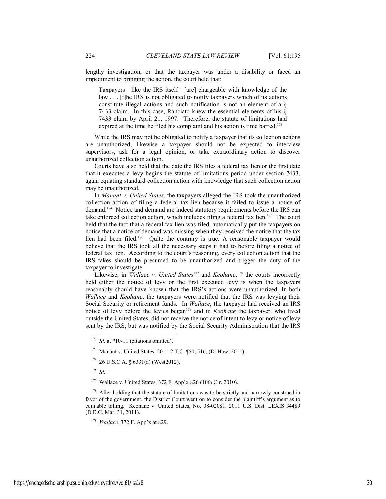lengthy investigation, or that the taxpayer was under a disability or faced an impediment to bringing the action, the court held that:

Taxpayers—like the IRS itself—[are] chargeable with knowledge of the law . . . [t]he IRS is not obligated to notify taxpayers which of its actions constitute illegal actions and such notification is not an element of a § 7433 claim. In this case, Ranciato knew the essential elements of his § 7433 claim by April 21, 1997. Therefore, the statute of limitations had expired at the time he filed his complaint and his action is time barred.<sup>173</sup>

While the IRS may not be obligated to notify a taxpayer that its collection actions are unauthorized, likewise a taxpayer should not be expected to interview supervisors, ask for a legal opinion, or take extraordinary action to discover unauthorized collection action.

Courts have also held that the date the IRS files a federal tax lien or the first date that it executes a levy begins the statute of limitations period under section 7433, again equating standard collection action with knowledge that such collection action may be unauthorized.

In *Manant v. United States*, the taxpayers alleged the IRS took the unauthorized collection action of filing a federal tax lien because it failed to issue a notice of demand.174 Notice and demand are indeed statutory requirements before the IRS can take enforced collection action, which includes filing a federal tax lien.<sup>175</sup> The court held that the fact that a federal tax lien was filed, automatically put the taxpayers on notice that a notice of demand was missing when they received the notice that the tax lien had been filed.176 Quite the contrary is true. A reasonable taxpayer would believe that the IRS took all the necessary steps it had to before filing a notice of federal tax lien. According to the court's reasoning, every collection action that the IRS takes should be presumed to be unauthorized and trigger the duty of the taxpayer to investigate.

Likewise, in *Wallace v. United States*<sup>177</sup> and *Keohane*,<sup>178</sup> the courts incorrectly held either the notice of levy or the first executed levy is when the taxpayers reasonably should have known that the IRS's actions were unauthorized. In both *Wallace* and *Keohane*, the taxpayers were notified that the IRS was levying their Social Security or retirement funds. In *Wallace*, the taxpayer had received an IRS notice of levy before the levies began<sup>179</sup> and in *Keohane* the taxpayer, who lived outside the United States, did not receive the notice of intent to levy or notice of levy sent by the IRS, but was notified by the Social Security Administration that the IRS

<sup>176</sup> *Id.*

<sup>&</sup>lt;sup>173</sup> *Id.* at \*10-11 (citations omitted).

<sup>174</sup> Manant v. United States, 2011-2 T.C. ¶50, 516, (D. Haw. 2011).

 $175$  26 U.S.C.A. § 6331(a) (West2012).

<sup>177</sup> Wallace v. United States, 372 F. App'x 826 (10th Cir. 2010).

<sup>&</sup>lt;sup>178</sup> After holding that the statute of limitations was to be strictly and narrowly construed in favor of the government, the District Court went on to consider the plaintiff's argument as to equitable tolling. Keohane v. United States, No. 08-02081, 2011 U.S. Dist. LEXIS 34489 (D.D.C. Mar. 31, 2011).

<sup>179</sup> *Wallace,* 372 F. App'x at 829.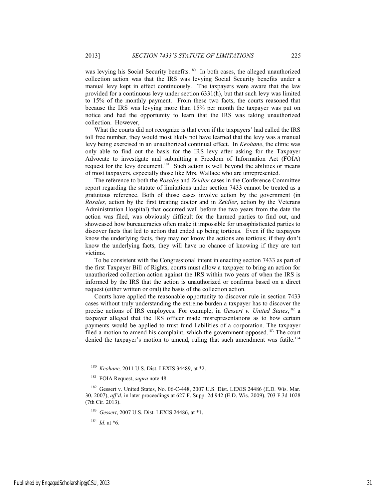was levying his Social Security benefits.<sup>180</sup> In both cases, the alleged unauthorized collection action was that the IRS was levying Social Security benefits under a manual levy kept in effect continuously. The taxpayers were aware that the law provided for a continuous levy under section 6331(h), but that such levy was limited to 15% of the monthly payment. From these two facts, the courts reasoned that because the IRS was levying more than 15% per month the taxpayer was put on notice and had the opportunity to learn that the IRS was taking unauthorized collection. However,

What the courts did not recognize is that even if the taxpayers' had called the IRS toll free number, they would most likely not have learned that the levy was a manual levy being exercised in an unauthorized continual effect. In *Keohane*, the clinic was only able to find out the basis for the IRS levy after asking for the Taxpayer Advocate to investigate and submitting a Freedom of Information Act (FOIA) request for the levy document.<sup>181</sup> Such action is well beyond the abilities or means of most taxpayers, especially those like Mrs. Wallace who are unrepresented.

The reference to both the *Rosales* and *Zeidler* cases in the Conference Committee report regarding the statute of limitations under section 7433 cannot be treated as a gratuitous reference. Both of those cases involve action by the government (in *Rosales,* action by the first treating doctor and in *Zeidler*, action by the Veterans Administration Hospital) that occurred well before the two years from the date the action was filed, was obviously difficult for the harmed parties to find out, and showcased how bureaucracies often make it impossible for unsophisticated parties to discover facts that led to action that ended up being tortious. Even if the taxpayers know the underlying facts, they may not know the actions are tortious; if they don't know the underlying facts, they will have no chance of knowing if they are tort victims.

To be consistent with the Congressional intent in enacting section 7433 as part of the first Taxpayer Bill of Rights, courts must allow a taxpayer to bring an action for unauthorized collection action against the IRS within two years of when the IRS is informed by the IRS that the action is unauthorized or confirms based on a direct request (either written or oral) the basis of the collection action.

Courts have applied the reasonable opportunity to discover rule in section 7433 cases without truly understanding the extreme burden a taxpayer has to discover the precise actions of IRS employees. For example, in *Gessert v. United States*, <sup>182</sup> a taxpayer alleged that the IRS officer made misrepresentations as to how certain payments would be applied to trust fund liabilities of a corporation. The taxpayer filed a motion to amend his complaint, which the government opposed.<sup>183</sup> The court denied the taxpayer's motion to amend, ruling that such amendment was futile.<sup>184</sup>

Published by EngagedScholarship@CSU, 2013 31

 <sup>180</sup> *Keohane,* 2011 U.S. Dist. LEXIS 34489, at \*2.

<sup>181</sup> FOIA Request, *supra* note 48.

<sup>&</sup>lt;sup>182</sup> Gessert v. United States, No. 06-C-448, 2007 U.S. Dist. LEXIS 24486 (E.D. Wis. Mar. 30, 2007), *aff'd*, in later proceedings at 627 F. Supp. 2d 942 (E.D. Wis. 2009), 703 F.3d 1028 (7th Cir. 2013).

<sup>183</sup> *Gessert*, 2007 U.S. Dist. LEXIS 24486, at \*1.

<sup>184</sup> *Id*. at \*6.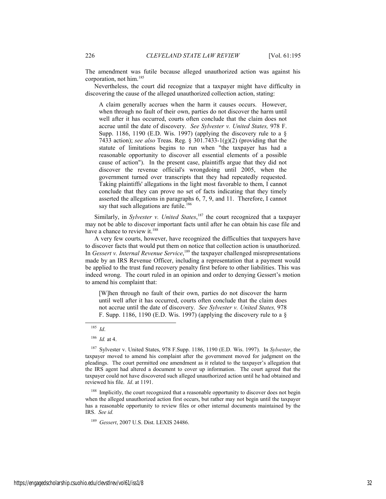The amendment was futile because alleged unauthorized action was against his corporation, not him.185

Nevertheless, the court did recognize that a taxpayer might have difficulty in discovering the cause of the alleged unauthorized collection action, stating:

A claim generally accrues when the harm it causes occurs. However, when through no fault of their own, parties do not discover the harm until well after it has occurred, courts often conclude that the claim does not accrue until the date of discovery. *See Sylvester v. United States,* 978 F. Supp. 1186, 1190 (E.D. Wis. 1997) (applying the discovery rule to a § 7433 action); *see also* Treas. Reg. § 301.7433-1(g)(2) (providing that the statute of limitations begins to run when "the taxpayer has had a reasonable opportunity to discover all essential elements of a possible cause of action"). In the present case, plaintiffs argue that they did not discover the revenue official's wrongdoing until 2005, when the government turned over transcripts that they had repeatedly requested. Taking plaintiffs' allegations in the light most favorable to them, I cannot conclude that they can prove no set of facts indicating that they timely asserted the allegations in paragraphs 6, 7, 9, and 11. Therefore, I cannot say that such allegations are futile.<sup>186</sup>

Similarly, in *Sylvester v. United States*, 187 the court recognized that a taxpayer may not be able to discover important facts until after he can obtain his case file and have a chance to review it.<sup>188</sup>

A very few courts, however, have recognized the difficulties that taxpayers have to discover facts that would put them on notice that collection action is unauthorized. In *Gessert v. Internal Revenue Service*,<sup>189</sup> the taxpayer challenged misrepresentations made by an IRS Revenue Officer, including a representation that a payment would be applied to the trust fund recovery penalty first before to other liabilities. This was indeed wrong. The court ruled in an opinion and order to denying Gessert's motion to amend his complaint that:

[W]hen through no fault of their own, parties do not discover the harm until well after it has occurred, courts often conclude that the claim does not accrue until the date of discovery. *See Sylvester v. United States,* 978 F. Supp. 1186, 1190 (E.D. Wis. 1997) (applying the discovery rule to a §

<sup>188</sup> Implicitly, the court recognized that a reasonable opportunity to discover does not begin when the alleged unauthorized action first occurs, but rather may not begin until the taxpayer has a reasonable opportunity to review files or other internal documents maintained by the IRS. *See id.*

<sup>189</sup> *Gessert*, 2007 U.S. Dist. LEXIS 24486.

 <sup>185</sup> *Id*.

<sup>186</sup> *Id.* at 4.

<sup>187</sup> Sylvester v. United States, 978 F.Supp. 1186, 1190 (E.D. Wis. 1997). In *Sylvester*, the taxpayer moved to amend his complaint after the government moved for judgment on the pleadings. The court permitted one amendment as it related to the taxpayer's allegation that the IRS agent had altered a document to cover up information. The court agreed that the taxpayer could not have discovered such alleged unauthorized action until he had obtained and reviewed his file. *Id*. at 1191.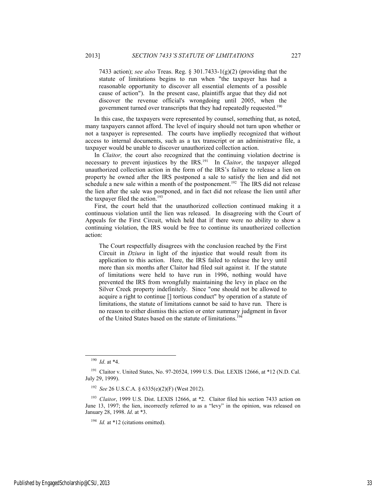7433 action); *see also* Treas. Reg. § 301.7433-1(g)(2) (providing that the statute of limitations begins to run when "the taxpayer has had a reasonable opportunity to discover all essential elements of a possible cause of action"). In the present case, plaintiffs argue that they did not discover the revenue official's wrongdoing until 2005, when the government turned over transcripts that they had repeatedly requested.190

In this case, the taxpayers were represented by counsel, something that, as noted, many taxpayers cannot afford. The level of inquiry should not turn upon whether or not a taxpayer is represented. The courts have impliedly recognized that without access to internal documents, such as a tax transcript or an administrative file, a taxpayer would be unable to discover unauthorized collection action.

In *Claitor*, the court also recognized that the continuing violation doctrine is necessary to prevent injustices by the IRS.191 In *Claitor*, the taxpayer alleged unauthorized collection action in the form of the IRS's failure to release a lien on property he owned after the IRS postponed a sale to satisfy the lien and did not schedule a new sale within a month of the postponement.<sup>192</sup> The IRS did not release the lien after the sale was postponed, and in fact did not release the lien until after the taxpayer filed the action.<sup>193</sup>

First, the court held that the unauthorized collection continued making it a continuous violation until the lien was released. In disagreeing with the Court of Appeals for the First Circuit, which held that if there were no ability to show a continuing violation, the IRS would be free to continue its unauthorized collection action:

The Court respectfully disagrees with the conclusion reached by the First Circuit in *Dziura* in light of the injustice that would result from its application to this action. Here, the IRS failed to release the levy until more than six months after Claitor had filed suit against it. If the statute of limitations were held to have run in 1996, nothing would have prevented the IRS from wrongfully maintaining the levy in place on the Silver Creek property indefinitely. Since "one should not be allowed to acquire a right to continue [] tortious conduct" by operation of a statute of limitations, the statute of limitations cannot be said to have run. There is no reason to either dismiss this action or enter summary judgment in favor of the United States based on the statute of limitations.194

 <sup>190</sup> *Id*. at \*4.

<sup>&</sup>lt;sup>191</sup> Claitor v. United States, No. 97-20524, 1999 U.S. Dist. LEXIS 12666, at \*12 (N.D. Cal. July 29, 1999).

<sup>192</sup> *See* 26 U.S.C.A. § 6335(e)(2)(F) (West 2012).

<sup>&</sup>lt;sup>193</sup> *Claitor*, 1999 U.S. Dist. LEXIS 12666, at \*2. Claitor filed his section 7433 action on June 13, 1997; the lien, incorrectly referred to as a "levy" in the opinion, was released on January 28, 1998. *Id*. at \*3.

<sup>&</sup>lt;sup>194</sup> *Id.* at \*12 (citations omitted).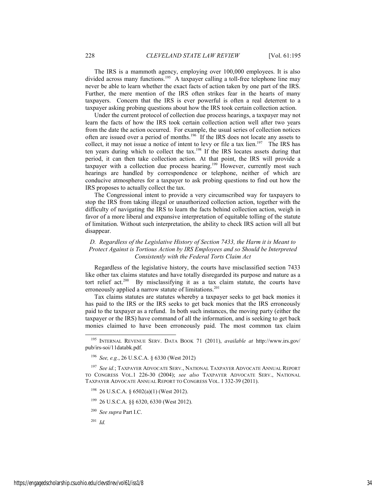The IRS is a mammoth agency, employing over 100,000 employees. It is also divided across many functions.<sup>195</sup> A taxpayer calling a toll-free telephone line may never be able to learn whether the exact facts of action taken by one part of the IRS. Further, the mere mention of the IRS often strikes fear in the hearts of many taxpayers. Concern that the IRS is ever powerful is often a real deterrent to a taxpayer asking probing questions about how the IRS took certain collection action.

Under the current protocol of collection due process hearings, a taxpayer may not learn the facts of how the IRS took certain collection action well after two years from the date the action occurred. For example, the usual series of collection notices often are issued over a period of months.196 If the IRS does not locate any assets to collect, it may not issue a notice of intent to levy or file a tax lien.<sup>197</sup> The IRS has ten years during which to collect the tax.<sup>198</sup> If the IRS locates assets during that period, it can then take collection action. At that point, the IRS will provide a taxpayer with a collection due process hearing.<sup>199</sup> However, currently most such hearings are handled by correspondence or telephone, neither of which are conducive atmospheres for a taxpayer to ask probing questions to find out how the IRS proposes to actually collect the tax.

The Congressional intent to provide a very circumscribed way for taxpayers to stop the IRS from taking illegal or unauthorized collection action, together with the difficulty of navigating the IRS to learn the facts behind collection action, weigh in favor of a more liberal and expansive interpretation of equitable tolling of the statute of limitation. Without such interpretation, the ability to check IRS action will all but disappear.

# *D. Regardless of the Legislative History of Section 7433, the Harm it is Meant to Protect Against is Tortious Action by IRS Employees and so Should be Interpreted Consistently with the Federal Torts Claim Act*

Regardless of the legislative history, the courts have misclassified section 7433 like other tax claims statutes and have totally disregarded its purpose and nature as a tort relief act.<sup>200</sup> By misclassifying it as a tax claim statute, the courts have erroneously applied a narrow statute of limitations.<sup>201</sup>

Tax claims statutes are statutes whereby a taxpayer seeks to get back monies it has paid to the IRS or the IRS seeks to get back monies that the IRS erroneously paid to the taxpayer as a refund. In both such instances, the moving party (either the taxpayer or the IRS) have command of all the information, and is seeking to get back monies claimed to have been erroneously paid. The most common tax claim

 <sup>195</sup> INTERNAL REVENUE SERV. DATA BOOK 71 (2011), *available at* http://www.irs.gov/ pub/irs-soi/11databk.pdf.

<sup>196</sup> *See, e.g.*, 26 U.S.C.A. § 6330 (West 2012)

<sup>197</sup> *See id.*; TAXPAYER ADVOCATE SERV., NATIONAL TAXPAYER ADVOCATE ANNUAL REPORT TO CONGRESS VOL.1 226-30 (2004); *see also* TAXPAYER ADVOCATE SERV., NATIONAL TAXPAYER ADVOCATE ANNUAL REPORT TO CONGRESS VOL. 1 332-39 (2011).

<sup>198 26</sup> U.S.C.A. § 6502(a)(1) (West 2012).

<sup>199 26</sup> U.S.C.A. §§ 6320, 6330 (West 2012).

<sup>200</sup> *See supra* Part I.C.

<sup>201</sup> *Id.*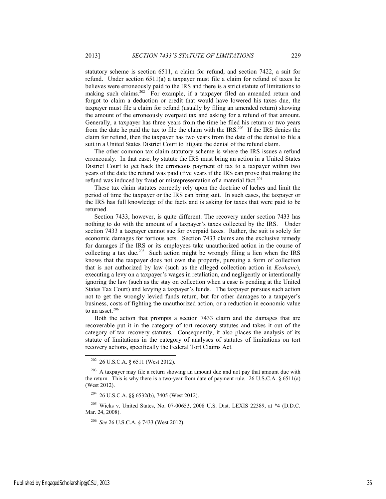statutory scheme is section 6511, a claim for refund, and section 7422, a suit for refund. Under section 6511(a) a taxpayer must file a claim for refund of taxes he believes were erroneously paid to the IRS and there is a strict statute of limitations to making such claims.<sup>202</sup> For example, if a taxpayer filed an amended return and forgot to claim a deduction or credit that would have lowered his taxes due, the taxpayer must file a claim for refund (usually by filing an amended return) showing the amount of the erroneously overpaid tax and asking for a refund of that amount. Generally, a taxpayer has three years from the time he filed his return or two years from the date he paid the tax to file the claim with the IRS.203 If the IRS denies the claim for refund, then the taxpayer has two years from the date of the denial to file a suit in a United States District Court to litigate the denial of the refund claim.

The other common tax claim statutory scheme is where the IRS issues a refund erroneously. In that case, by statute the IRS must bring an action in a United States District Court to get back the erroneous payment of tax to a taxpayer within two years of the date the refund was paid (five years if the IRS can prove that making the refund was induced by fraud or misrepresentation of a material fact.<sup>204</sup>

These tax claim statutes correctly rely upon the doctrine of laches and limit the period of time the taxpayer or the IRS can bring suit. In such cases, the taxpayer or the IRS has full knowledge of the facts and is asking for taxes that were paid to be returned.

Section 7433, however, is quite different. The recovery under section 7433 has nothing to do with the amount of a taxpayer's taxes collected by the IRS. Under section 7433 a taxpayer cannot sue for overpaid taxes. Rather, the suit is solely for economic damages for tortious acts. Section 7433 claims are the exclusive remedy for damages if the IRS or its employees take unauthorized action in the course of collecting a tax due.<sup>205</sup> Such action might be wrongly filing a lien when the IRS knows that the taxpayer does not own the property, pursuing a form of collection that is not authorized by law (such as the alleged collection action in *Keohane*), executing a levy on a taxpayer's wages in retaliation, and negligently or intentionally ignoring the law (such as the stay on collection when a case is pending at the United States Tax Court) and levying a taxpayer's funds. The taxpayer pursues such action not to get the wrongly levied funds return, but for other damages to a taxpayer's business, costs of fighting the unauthorized action, or a reduction in economic value to an asset.<sup>206</sup>

Both the action that prompts a section 7433 claim and the damages that are recoverable put it in the category of tort recovery statutes and takes it out of the category of tax recovery statutes. Consequently, it also places the analysis of its statute of limitations in the category of analyses of statutes of limitations on tort recovery actions, specifically the Federal Tort Claims Act.

204 26 U.S.C.A. §§ 6532(b), 7405 (West 2012).

205 Wicks v. United States, No. 07-00653, 2008 U.S. Dist. LEXIS 22389, at \*4 (D.D.C. Mar. 24, 2008).

Published by EngagedScholarship@CSU, 2013 35

 <sup>202 26</sup> U.S.C.A. § 6511 (West 2012).

 $203$  A taxpayer may file a return showing an amount due and not pay that amount due with the return. This is why there is a two-year from date of payment rule. 26 U.S.C.A.  $\S 6511(a)$ (West 2012).

<sup>206</sup> *See* 26 U.S.C.A. § 7433 (West 2012).